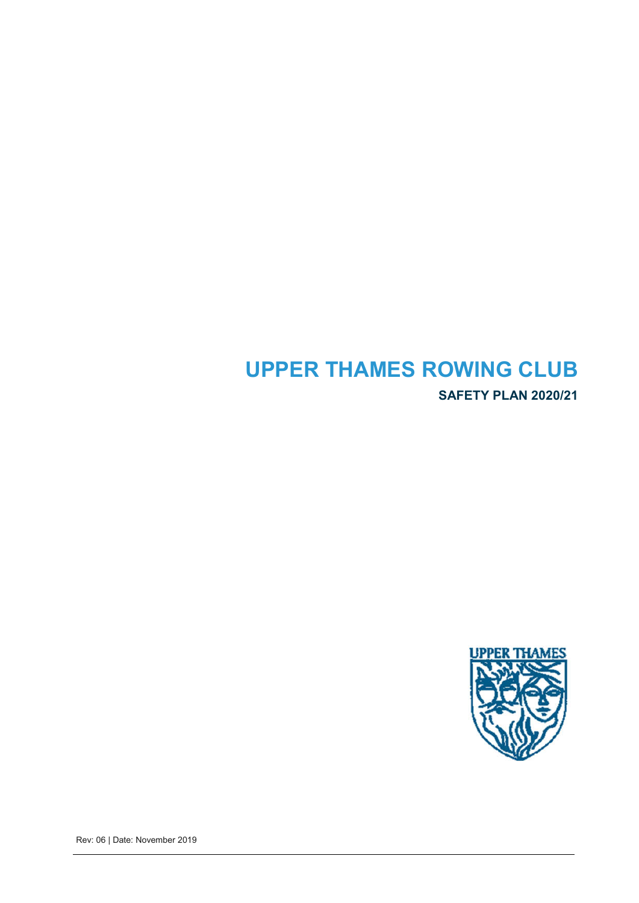# **UPPER THAMES ROWING CLUB SAFETY PLAN 2020/21**



Rev: 06 | Date: November 2019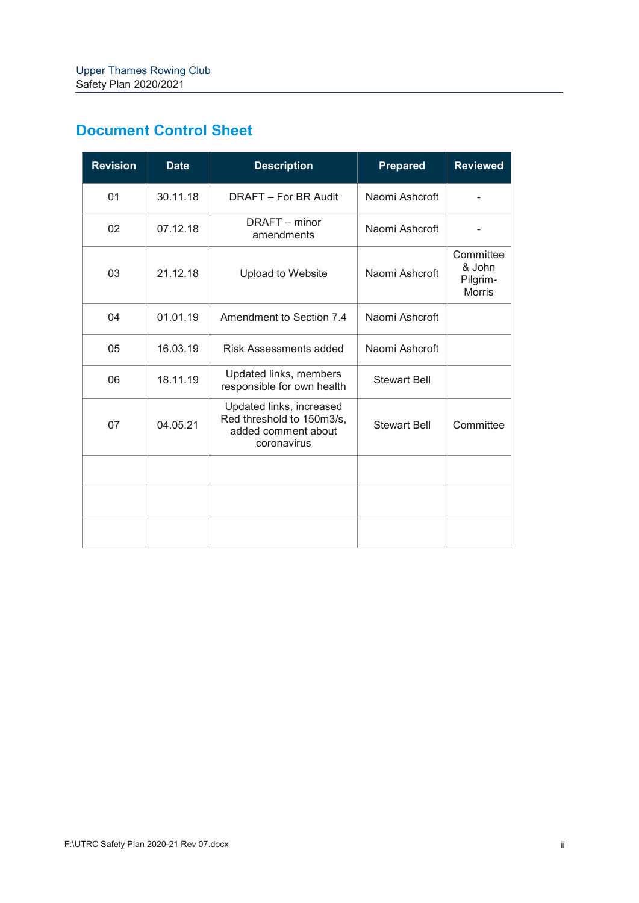| <b>Document Control Sheet</b> |  |
|-------------------------------|--|
|-------------------------------|--|

| <b>Revision</b> | <b>Date</b> | <b>Description</b>                                                                          | <b>Prepared</b>     | <b>Reviewed</b>                                  |
|-----------------|-------------|---------------------------------------------------------------------------------------------|---------------------|--------------------------------------------------|
| 01              | 30.11.18    | DRAFT - For BR Audit                                                                        | Naomi Ashcroft      |                                                  |
| 02              | 07.12.18    | DRAFT - minor<br>amendments                                                                 | Naomi Ashcroft      |                                                  |
| 03              | 21.12.18    | <b>Upload to Website</b>                                                                    | Naomi Ashcroft      | Committee<br>& John<br>Pilgrim-<br><b>Morris</b> |
| 04              | 01.01.19    | Amendment to Section 7.4                                                                    | Naomi Ashcroft      |                                                  |
| 05              | 16.03.19    | Risk Assessments added                                                                      | Naomi Ashcroft      |                                                  |
| 06              | 18.11.19    | Updated links, members<br>responsible for own health                                        | <b>Stewart Bell</b> |                                                  |
| 07              | 04.05.21    | Updated links, increased<br>Red threshold to 150m3/s,<br>added comment about<br>coronavirus | <b>Stewart Bell</b> | Committee                                        |
|                 |             |                                                                                             |                     |                                                  |
|                 |             |                                                                                             |                     |                                                  |
|                 |             |                                                                                             |                     |                                                  |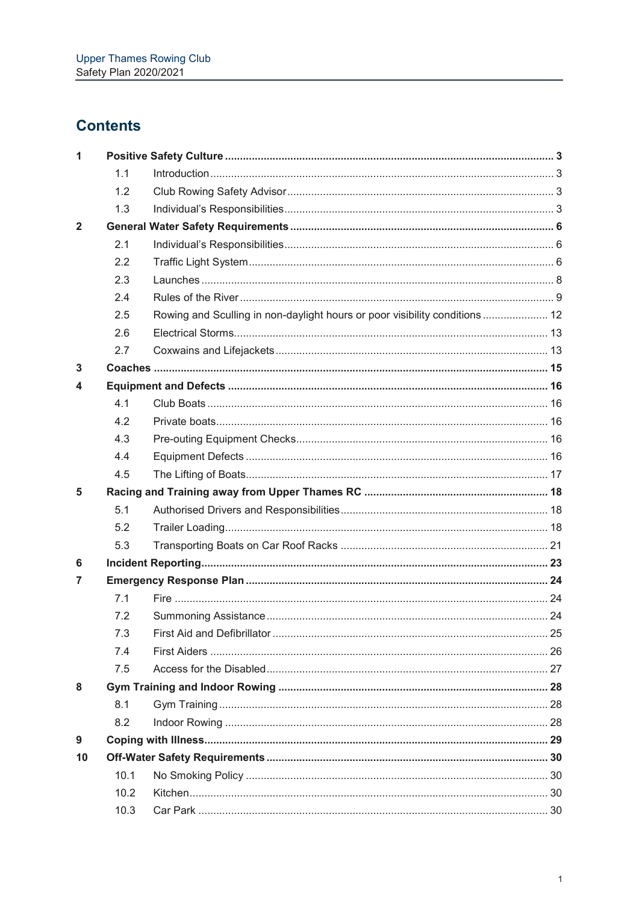## **Contents**

| 1            |      |                                                                            |  |
|--------------|------|----------------------------------------------------------------------------|--|
|              | 1.1  |                                                                            |  |
|              | 1.2  |                                                                            |  |
|              | 1.3  |                                                                            |  |
| $\mathbf{2}$ |      |                                                                            |  |
|              | 2.1  |                                                                            |  |
|              | 2.2  |                                                                            |  |
|              | 2.3  |                                                                            |  |
|              | 2.4  |                                                                            |  |
|              | 2.5  | Rowing and Sculling in non-daylight hours or poor visibility conditions 12 |  |
|              | 2.6  |                                                                            |  |
|              | 2.7  |                                                                            |  |
| 3            |      |                                                                            |  |
| 4            |      |                                                                            |  |
|              | 4.1  |                                                                            |  |
|              | 4.2  |                                                                            |  |
|              | 4.3  |                                                                            |  |
|              | 4.4  |                                                                            |  |
|              | 4.5  |                                                                            |  |
| 5            |      |                                                                            |  |
|              | 5.1  |                                                                            |  |
|              | 5.2  |                                                                            |  |
|              | 5.3  |                                                                            |  |
| 6            |      |                                                                            |  |
| 7            |      |                                                                            |  |
|              | 7.1  |                                                                            |  |
|              | 7.2  |                                                                            |  |
|              | 7.3  |                                                                            |  |
|              | 7.4  |                                                                            |  |
|              | 7.5  |                                                                            |  |
| 8            |      |                                                                            |  |
|              | 8.1  |                                                                            |  |
|              | 8.2  |                                                                            |  |
| 9            |      |                                                                            |  |
| 10           |      |                                                                            |  |
|              | 10.1 |                                                                            |  |
|              | 10.2 |                                                                            |  |
|              | 10.3 |                                                                            |  |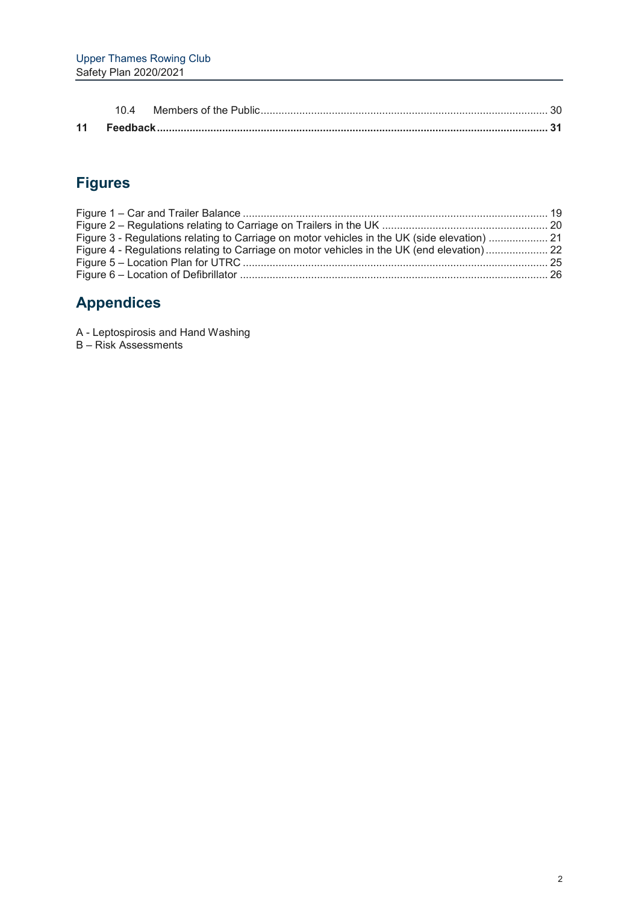## **Figures**

| Figure 3 - Regulations relating to Carriage on motor vehicles in the UK (side elevation)  21 |  |
|----------------------------------------------------------------------------------------------|--|
| Figure 4 - Regulations relating to Carriage on motor vehicles in the UK (end elevation) 22   |  |
|                                                                                              |  |
|                                                                                              |  |

## **Appendices**

A - Leptospirosis and Hand Washing

B – Risk Assessments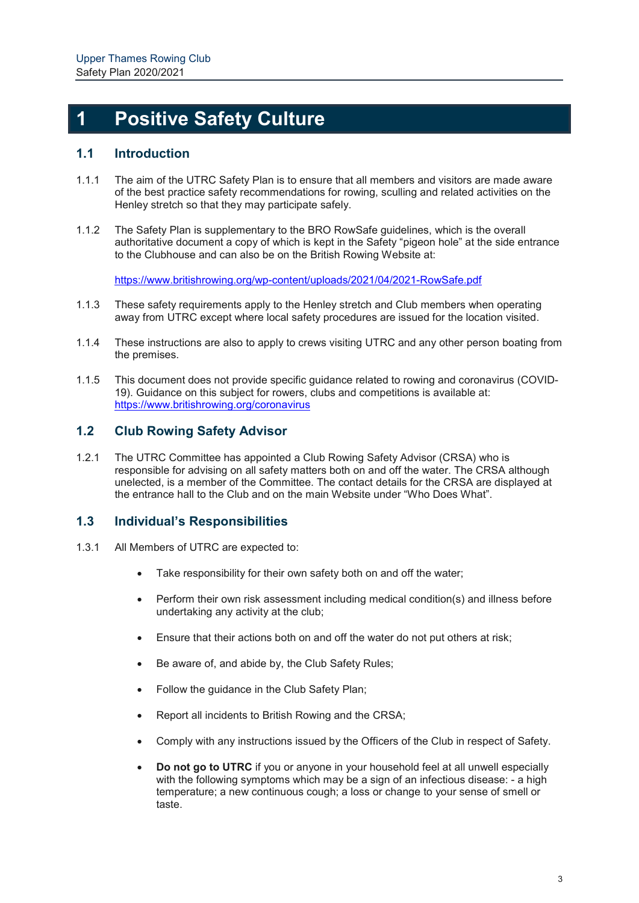## **1 Positive Safety Culture**

### **1.1 Introduction**

- 1.1.1 The aim of the UTRC Safety Plan is to ensure that all members and visitors are made aware of the best practice safety recommendations for rowing, sculling and related activities on the Henley stretch so that they may participate safely.
- 1.1.2 The Safety Plan is supplementary to the BRO RowSafe guidelines, which is the overall authoritative document a copy of which is kept in the Safety "pigeon hole" at the side entrance to the Clubhouse and can also be on the British Rowing Website at:

https://www.britishrowing.org/wp-content/uploads/2021/04/2021-RowSafe.pdf

- 1.1.3 These safety requirements apply to the Henley stretch and Club members when operating away from UTRC except where local safety procedures are issued for the location visited.
- 1.1.4 These instructions are also to apply to crews visiting UTRC and any other person boating from the premises.
- 1.1.5 This document does not provide specific guidance related to rowing and coronavirus (COVID-19). Guidance on this subject for rowers, clubs and competitions is available at: https://www.britishrowing.org/coronavirus

### **1.2 Club Rowing Safety Advisor**

1.2.1 The UTRC Committee has appointed a Club Rowing Safety Advisor (CRSA) who is responsible for advising on all safety matters both on and off the water. The CRSA although unelected, is a member of the Committee. The contact details for the CRSA are displayed at the entrance hall to the Club and on the main Website under "Who Does What".

### **1.3 Individual's Responsibilities**

- 1.3.1 All Members of UTRC are expected to:
	- Take responsibility for their own safety both on and off the water;
	- Perform their own risk assessment including medical condition(s) and illness before undertaking any activity at the club;
	- Ensure that their actions both on and off the water do not put others at risk;
	- Be aware of, and abide by, the Club Safety Rules;
	- Follow the guidance in the Club Safety Plan;
	- Report all incidents to British Rowing and the CRSA;
	- Comply with any instructions issued by the Officers of the Club in respect of Safety.
	- **Do not go to UTRC** if you or anyone in your household feel at all unwell especially with the following symptoms which may be a sign of an infectious disease: - a high temperature; a new continuous cough; a loss or change to your sense of smell or taste.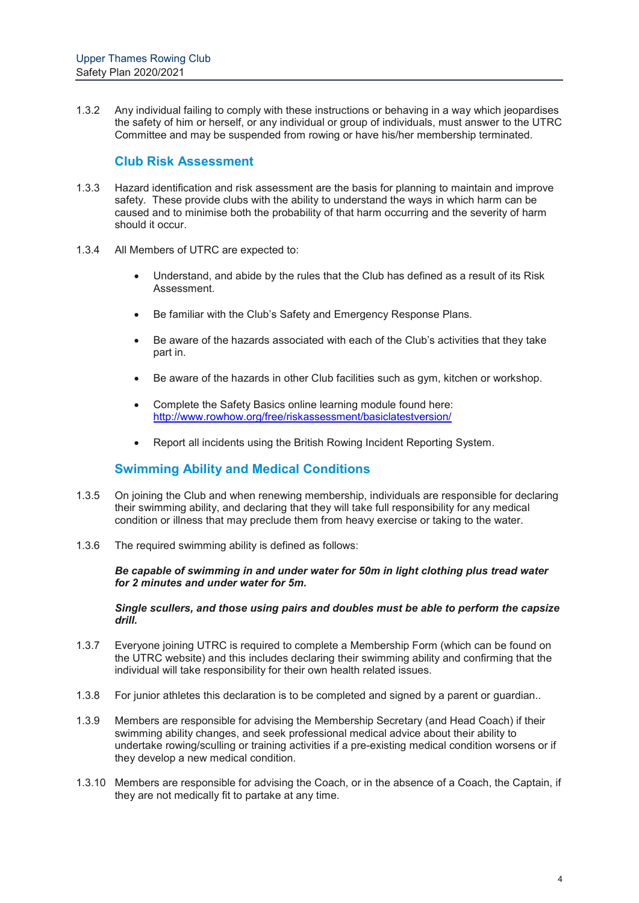1.3.2 Any individual failing to comply with these instructions or behaving in a way which jeopardises the safety of him or herself, or any individual or group of individuals, must answer to the UTRC Committee and may be suspended from rowing or have his/her membership terminated.

### **Club Risk Assessment**

- 1.3.3 Hazard identification and risk assessment are the basis for planning to maintain and improve safety. These provide clubs with the ability to understand the ways in which harm can be caused and to minimise both the probability of that harm occurring and the severity of harm should it occur.
- 1.3.4 All Members of UTRC are expected to:
	- Understand, and abide by the rules that the Club has defined as a result of its Risk Assessment.
	- Be familiar with the Club's Safety and Emergency Response Plans.
	- Be aware of the hazards associated with each of the Club's activities that they take part in.
	- Be aware of the hazards in other Club facilities such as gym, kitchen or workshop.
	- Complete the Safety Basics online learning module found here: http://www.rowhow.org/free/riskassessment/basiclatestversion/
	- Report all incidents using the British Rowing Incident Reporting System.

### **Swimming Ability and Medical Conditions**

- 1.3.5 On joining the Club and when renewing membership, individuals are responsible for declaring their swimming ability, and declaring that they will take full responsibility for any medical condition or illness that may preclude them from heavy exercise or taking to the water.
- 1.3.6 The required swimming ability is defined as follows:

*Be capable of swimming in and under water for 50m in light clothing plus tread water for 2 minutes and under water for 5m.* 

*Single scullers, and those using pairs and doubles must be able to perform the capsize drill.*

- 1.3.7 Everyone joining UTRC is required to complete a Membership Form (which can be found on the UTRC website) and this includes declaring their swimming ability and confirming that the individual will take responsibility for their own health related issues.
- 1.3.8 For junior athletes this declaration is to be completed and signed by a parent or guardian..
- 1.3.9 Members are responsible for advising the Membership Secretary (and Head Coach) if their swimming ability changes, and seek professional medical advice about their ability to undertake rowing/sculling or training activities if a pre-existing medical condition worsens or if they develop a new medical condition.
- 1.3.10 Members are responsible for advising the Coach, or in the absence of a Coach, the Captain, if they are not medically fit to partake at any time.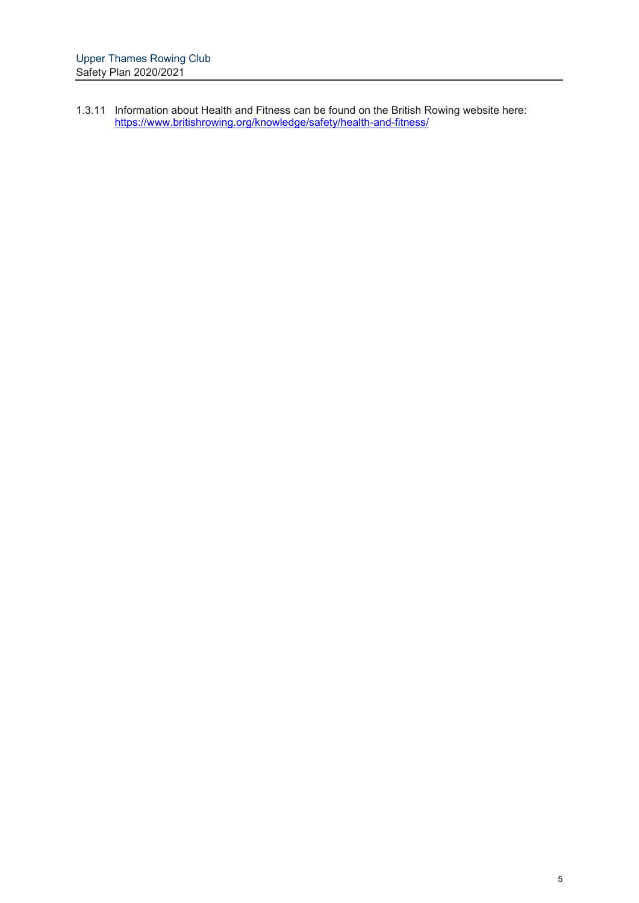1.3.11 Information about Health and Fitness can be found on the British Rowing website here: https://www.britishrowing.org/knowledge/safety/health-and-fitness/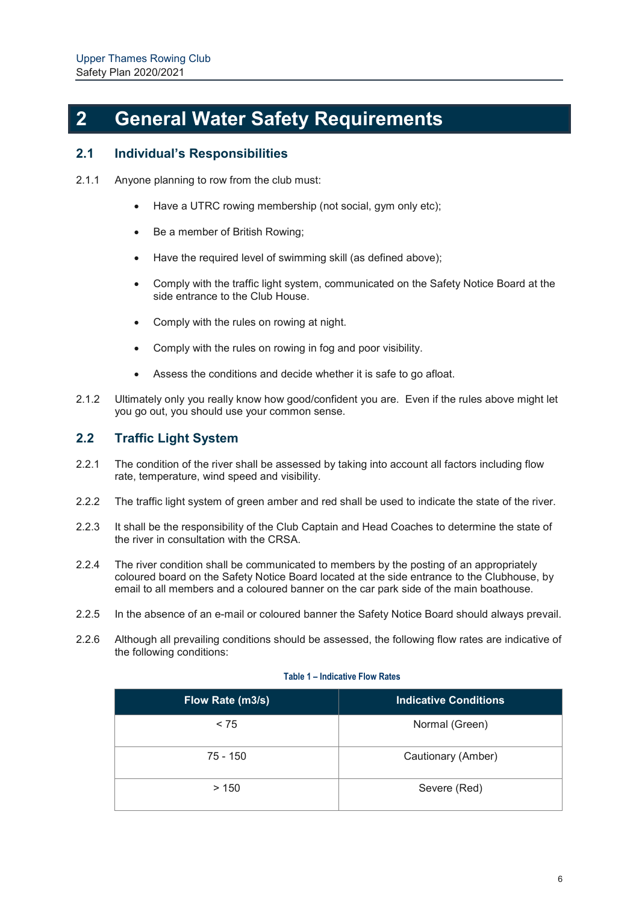# **2 General Water Safety Requirements**

### **2.1 Individual's Responsibilities**

- 2.1.1 Anyone planning to row from the club must:
	- Have a UTRC rowing membership (not social, gym only etc);
	- Be a member of British Rowing;
	- Have the required level of swimming skill (as defined above):
	- Comply with the traffic light system, communicated on the Safety Notice Board at the side entrance to the Club House.
	- Comply with the rules on rowing at night.
	- Comply with the rules on rowing in fog and poor visibility.
	- Assess the conditions and decide whether it is safe to go afloat.
- 2.1.2 Ultimately only you really know how good/confident you are. Even if the rules above might let you go out, you should use your common sense.

### **2.2 Traffic Light System**

- 2.2.1 The condition of the river shall be assessed by taking into account all factors including flow rate, temperature, wind speed and visibility.
- 2.2.2 The traffic light system of green amber and red shall be used to indicate the state of the river.
- 2.2.3 It shall be the responsibility of the Club Captain and Head Coaches to determine the state of the river in consultation with the CRSA.
- 2.2.4 The river condition shall be communicated to members by the posting of an appropriately coloured board on the Safety Notice Board located at the side entrance to the Clubhouse, by email to all members and a coloured banner on the car park side of the main boathouse.
- 2.2.5 In the absence of an e-mail or coloured banner the Safety Notice Board should always prevail.
- 2.2.6 Although all prevailing conditions should be assessed, the following flow rates are indicative of the following conditions:

#### **Table 1 – Indicative Flow Rates**

| Flow Rate (m3/s) | <b>Indicative Conditions</b> |
|------------------|------------------------------|
| < 75             | Normal (Green)               |
| $75 - 150$       | Cautionary (Amber)           |
| >150             | Severe (Red)                 |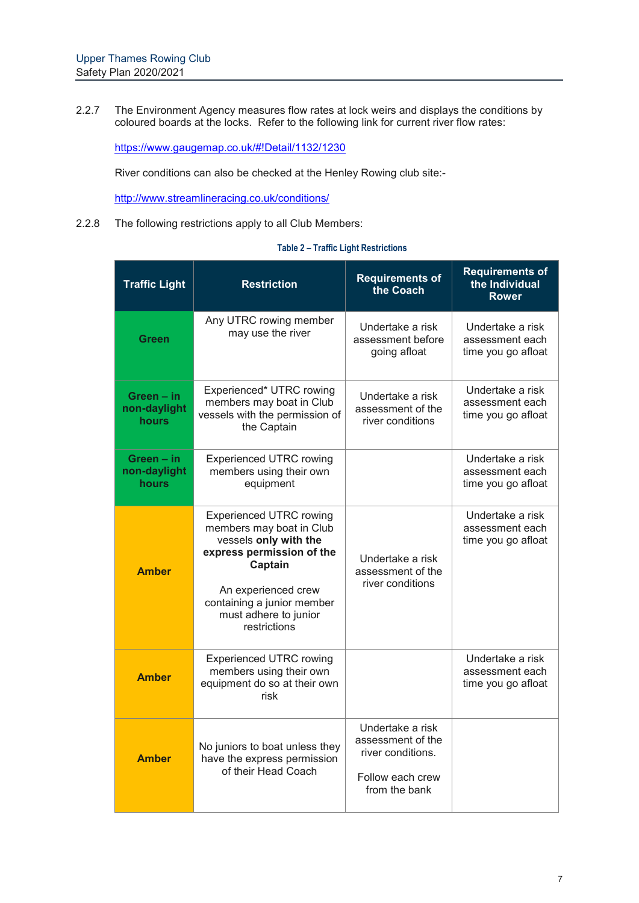2.2.7 The Environment Agency measures flow rates at lock weirs and displays the conditions by coloured boards at the locks. Refer to the following link for current river flow rates:

https://www.gaugemap.co.uk/#!Detail/1132/1230

River conditions can also be checked at the Henley Rowing club site:-

http://www.streamlineracing.co.uk/conditions/

2.2.8 The following restrictions apply to all Club Members:

|  |  |  | <b>Table 2 – Traffic Light Restrictions</b> |
|--|--|--|---------------------------------------------|
|--|--|--|---------------------------------------------|

| <b>Traffic Light</b>                       | <b>Restriction</b>                                                                                                                                                                                                                                                                     | <b>Requirements of</b><br>the Coach                                                             | <b>Requirements of</b><br>the Individual<br><b>Rower</b>  |
|--------------------------------------------|----------------------------------------------------------------------------------------------------------------------------------------------------------------------------------------------------------------------------------------------------------------------------------------|-------------------------------------------------------------------------------------------------|-----------------------------------------------------------|
| <b>Green</b>                               | Any UTRC rowing member<br>may use the river                                                                                                                                                                                                                                            | Undertake a risk<br>assessment before<br>going afloat                                           | Undertake a risk<br>assessment each<br>time you go afloat |
| Green - in<br>non-daylight<br>hours        | Experienced* UTRC rowing<br>members may boat in Club<br>vessels with the permission of<br>the Captain                                                                                                                                                                                  | Undertake a risk<br>assessment of the<br>river conditions                                       | Undertake a risk<br>assessment each<br>time you go afloat |
| Green - in<br>non-daylight<br><b>hours</b> | <b>Experienced UTRC rowing</b><br>members using their own<br>equipment                                                                                                                                                                                                                 |                                                                                                 | Undertake a risk<br>assessment each<br>time you go afloat |
| <b>Amber</b>                               | <b>Experienced UTRC rowing</b><br>members may boat in Club<br>vessels only with the<br>express permission of the<br>Undertake a risk<br>Captain<br>assessment of the<br>river conditions<br>An experienced crew<br>containing a junior member<br>must adhere to junior<br>restrictions |                                                                                                 | Undertake a risk<br>assessment each<br>time you go afloat |
| <b>Amber</b>                               | <b>Experienced UTRC rowing</b><br>members using their own<br>equipment do so at their own<br>risk                                                                                                                                                                                      |                                                                                                 | Undertake a risk<br>assessment each<br>time you go afloat |
| <b>Amber</b>                               | No juniors to boat unless they<br>have the express permission<br>of their Head Coach                                                                                                                                                                                                   | Undertake a risk<br>assessment of the<br>river conditions.<br>Follow each crew<br>from the bank |                                                           |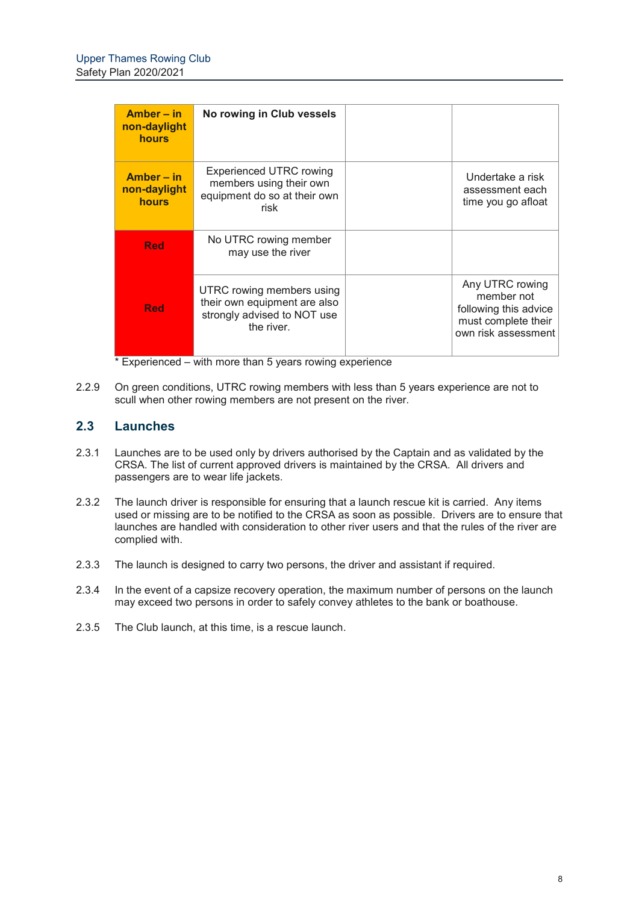| $Amber - in$<br>non-daylight<br><b>hours</b> | No rowing in Club vessels                                                                              |                                                                                                      |
|----------------------------------------------|--------------------------------------------------------------------------------------------------------|------------------------------------------------------------------------------------------------------|
| Amber – in<br>non-daylight<br><b>hours</b>   | <b>Experienced UTRC rowing</b><br>members using their own<br>equipment do so at their own<br>risk      | Undertake a risk<br>assessment each<br>time you go afloat                                            |
| <b>Red</b>                                   | No UTRC rowing member<br>may use the river                                                             |                                                                                                      |
| <b>Red</b>                                   | UTRC rowing members using<br>their own equipment are also<br>strongly advised to NOT use<br>the river. | Any UTRC rowing<br>member not<br>following this advice<br>must complete their<br>own risk assessment |

\* Experienced – with more than 5 years rowing experience

2.2.9 On green conditions, UTRC rowing members with less than 5 years experience are not to scull when other rowing members are not present on the river.

## **2.3 Launches**

- 2.3.1 Launches are to be used only by drivers authorised by the Captain and as validated by the CRSA. The list of current approved drivers is maintained by the CRSA. All drivers and passengers are to wear life jackets.
- 2.3.2 The launch driver is responsible for ensuring that a launch rescue kit is carried. Any items used or missing are to be notified to the CRSA as soon as possible. Drivers are to ensure that launches are handled with consideration to other river users and that the rules of the river are complied with.
- 2.3.3 The launch is designed to carry two persons, the driver and assistant if required.
- 2.3.4 In the event of a capsize recovery operation, the maximum number of persons on the launch may exceed two persons in order to safely convey athletes to the bank or boathouse.
- 2.3.5 The Club launch, at this time, is a rescue launch.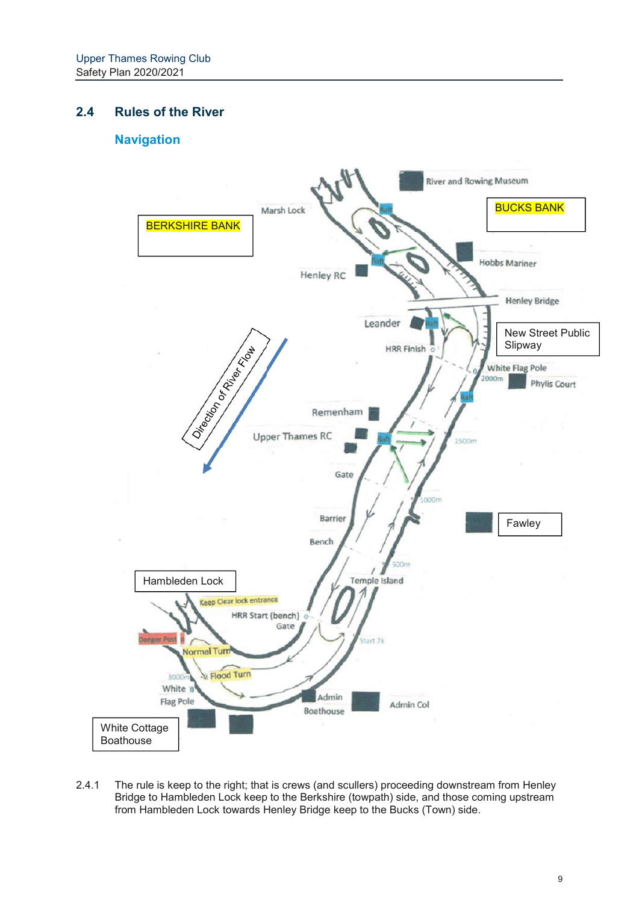## **2.4 Rules of the River**

## **Navigation**



2.4.1 The rule is keep to the right; that is crews (and scullers) proceeding downstream from Henley Bridge to Hambleden Lock keep to the Berkshire (towpath) side, and those coming upstream from Hambleden Lock towards Henley Bridge keep to the Bucks (Town) side.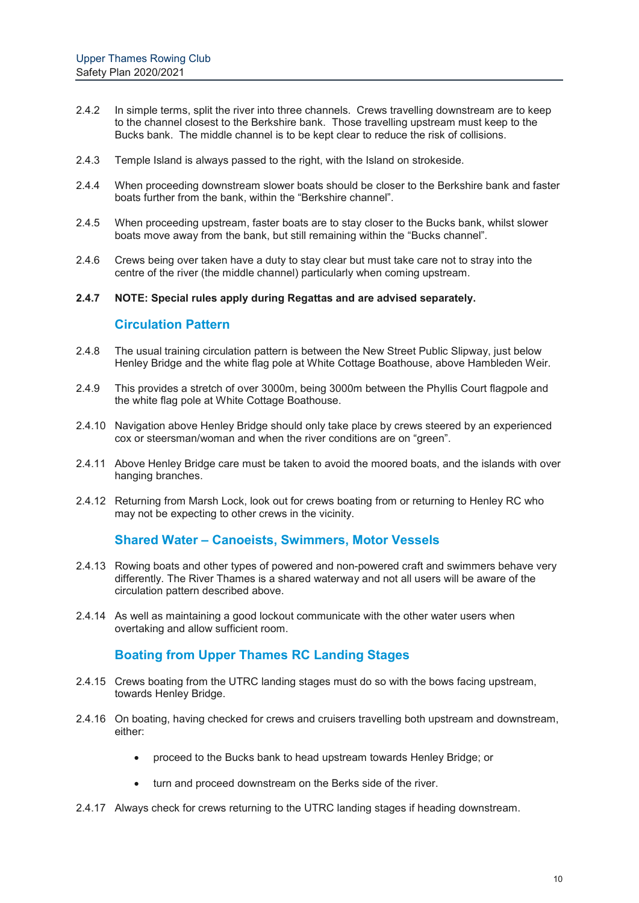- 2.4.2 In simple terms, split the river into three channels. Crews travelling downstream are to keep to the channel closest to the Berkshire bank. Those travelling upstream must keep to the Bucks bank. The middle channel is to be kept clear to reduce the risk of collisions.
- 2.4.3 Temple Island is always passed to the right, with the Island on strokeside.
- 2.4.4 When proceeding downstream slower boats should be closer to the Berkshire bank and faster boats further from the bank, within the "Berkshire channel".
- 2.4.5 When proceeding upstream, faster boats are to stay closer to the Bucks bank, whilst slower boats move away from the bank, but still remaining within the "Bucks channel".
- 2.4.6 Crews being over taken have a duty to stay clear but must take care not to stray into the centre of the river (the middle channel) particularly when coming upstream.
- **2.4.7 NOTE: Special rules apply during Regattas and are advised separately.**

#### **Circulation Pattern**

- 2.4.8 The usual training circulation pattern is between the New Street Public Slipway, just below Henley Bridge and the white flag pole at White Cottage Boathouse, above Hambleden Weir.
- 2.4.9 This provides a stretch of over 3000m, being 3000m between the Phyllis Court flagpole and the white flag pole at White Cottage Boathouse.
- 2.4.10 Navigation above Henley Bridge should only take place by crews steered by an experienced cox or steersman/woman and when the river conditions are on "green".
- 2.4.11 Above Henley Bridge care must be taken to avoid the moored boats, and the islands with over hanging branches.
- 2.4.12 Returning from Marsh Lock, look out for crews boating from or returning to Henley RC who may not be expecting to other crews in the vicinity.

#### **Shared Water – Canoeists, Swimmers, Motor Vessels**

- 2.4.13 Rowing boats and other types of powered and non-powered craft and swimmers behave very differently. The River Thames is a shared waterway and not all users will be aware of the circulation pattern described above.
- 2.4.14 As well as maintaining a good lockout communicate with the other water users when overtaking and allow sufficient room.

#### **Boating from Upper Thames RC Landing Stages**

- 2.4.15 Crews boating from the UTRC landing stages must do so with the bows facing upstream, towards Henley Bridge.
- 2.4.16 On boating, having checked for crews and cruisers travelling both upstream and downstream, either:
	- proceed to the Bucks bank to head upstream towards Henley Bridge; or
	- turn and proceed downstream on the Berks side of the river.
- 2.4.17 Always check for crews returning to the UTRC landing stages if heading downstream.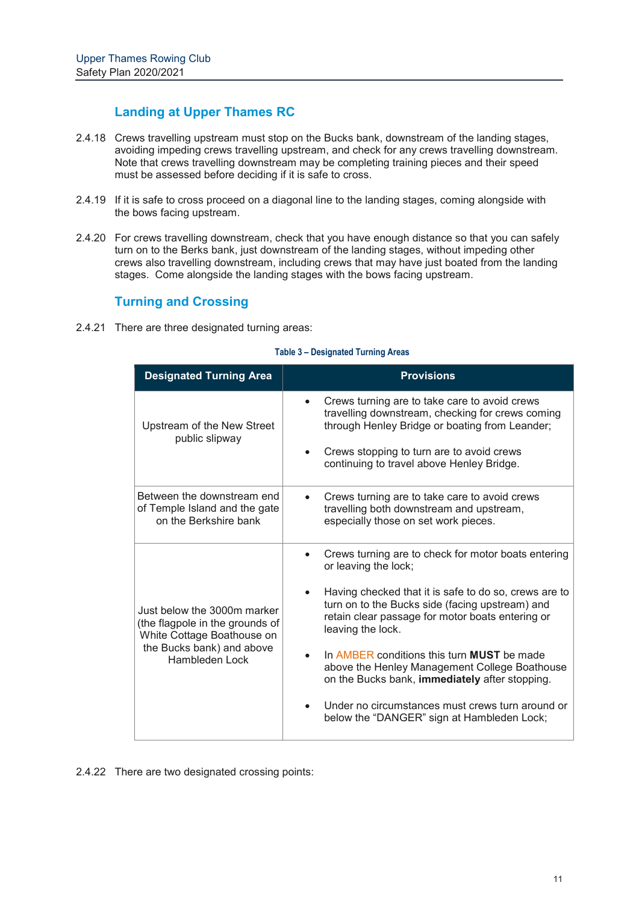## **Landing at Upper Thames RC**

- 2.4.18 Crews travelling upstream must stop on the Bucks bank, downstream of the landing stages, avoiding impeding crews travelling upstream, and check for any crews travelling downstream. Note that crews travelling downstream may be completing training pieces and their speed must be assessed before deciding if it is safe to cross.
- 2.4.19 If it is safe to cross proceed on a diagonal line to the landing stages, coming alongside with the bows facing upstream.
- 2.4.20 For crews travelling downstream, check that you have enough distance so that you can safely turn on to the Berks bank, just downstream of the landing stages, without impeding other crews also travelling downstream, including crews that may have just boated from the landing stages. Come alongside the landing stages with the bows facing upstream.

### **Turning and Crossing**

2.4.21 There are three designated turning areas:

#### **Table 3 – Designated Turning Areas**

| <b>Designated Turning Area</b>                                                                                                                     | <b>Provisions</b>                                                                                                                                                                                                                                                                                                                                                                                                                                                                                                                       |
|----------------------------------------------------------------------------------------------------------------------------------------------------|-----------------------------------------------------------------------------------------------------------------------------------------------------------------------------------------------------------------------------------------------------------------------------------------------------------------------------------------------------------------------------------------------------------------------------------------------------------------------------------------------------------------------------------------|
| Upstream of the New Street<br>public slipway                                                                                                       | Crews turning are to take care to avoid crews<br>$\bullet$<br>travelling downstream, checking for crews coming<br>through Henley Bridge or boating from Leander;<br>Crews stopping to turn are to avoid crews<br>continuing to travel above Henley Bridge.                                                                                                                                                                                                                                                                              |
| Between the downstream end<br>of Temple Island and the gate<br>on the Berkshire bank                                                               | Crews turning are to take care to avoid crews<br>travelling both downstream and upstream,<br>especially those on set work pieces.                                                                                                                                                                                                                                                                                                                                                                                                       |
| Just below the 3000m marker<br>(the flagpole in the grounds of<br>White Cottage Boathouse on<br>the Bucks bank) and above<br><b>Hambleden Lock</b> | Crews turning are to check for motor boats entering<br>$\bullet$<br>or leaving the lock;<br>Having checked that it is safe to do so, crews are to<br>turn on to the Bucks side (facing upstream) and<br>retain clear passage for motor boats entering or<br>leaving the lock.<br>In AMBER conditions this turn <b>MUST</b> be made<br>above the Henley Management College Boathouse<br>on the Bucks bank, immediately after stopping.<br>Under no circumstances must crews turn around or<br>below the "DANGER" sign at Hambleden Lock; |

2.4.22 There are two designated crossing points: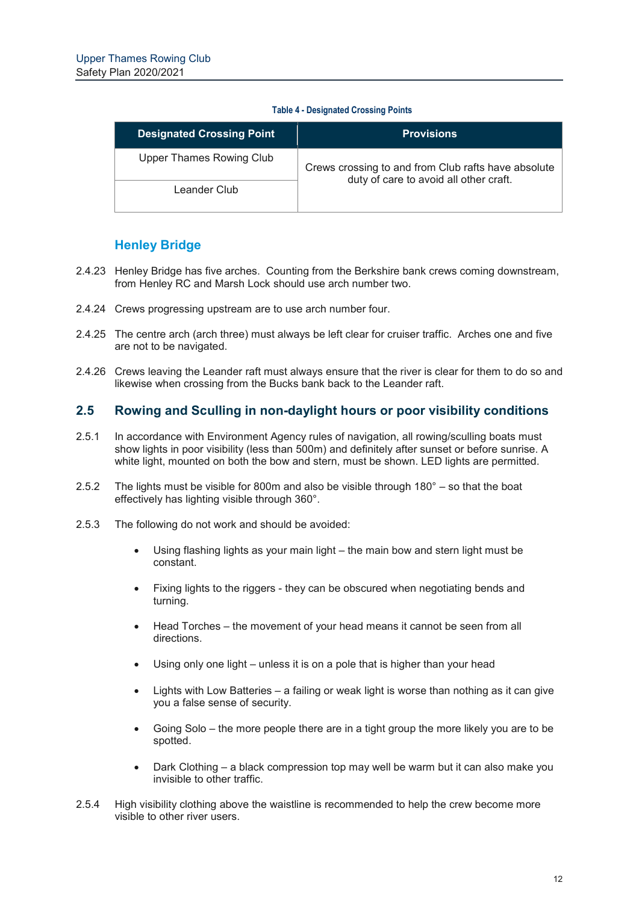#### **Table 4 - Designated Crossing Points**

| <b>Designated Crossing Point</b> | <b>Provisions</b>                                   |
|----------------------------------|-----------------------------------------------------|
| Upper Thames Rowing Club         | Crews crossing to and from Club rafts have absolute |
| Leander Club                     | duty of care to avoid all other craft.              |

## **Henley Bridge**

- 2.4.23 Henley Bridge has five arches. Counting from the Berkshire bank crews coming downstream, from Henley RC and Marsh Lock should use arch number two.
- 2.4.24 Crews progressing upstream are to use arch number four.
- 2.4.25 The centre arch (arch three) must always be left clear for cruiser traffic. Arches one and five are not to be navigated.
- 2.4.26 Crews leaving the Leander raft must always ensure that the river is clear for them to do so and likewise when crossing from the Bucks bank back to the Leander raft.

### **2.5 Rowing and Sculling in non-daylight hours or poor visibility conditions**

- 2.5.1 In accordance with Environment Agency rules of navigation, all rowing/sculling boats must show lights in poor visibility (less than 500m) and definitely after sunset or before sunrise. A white light, mounted on both the bow and stern, must be shown. LED lights are permitted.
- 2.5.2 The lights must be visible for 800m and also be visible through 180° so that the boat effectively has lighting visible through 360°.
- 2.5.3 The following do not work and should be avoided:
	- Using flashing lights as your main light the main bow and stern light must be constant.
	- Fixing lights to the riggers they can be obscured when negotiating bends and turning.
	- Head Torches the movement of your head means it cannot be seen from all directions.
	- Using only one light unless it is on a pole that is higher than your head
	- Lights with Low Batteries a failing or weak light is worse than nothing as it can give you a false sense of security.
	- Going Solo the more people there are in a tight group the more likely you are to be spotted.
	- Dark Clothing a black compression top may well be warm but it can also make you invisible to other traffic.
- 2.5.4 High visibility clothing above the waistline is recommended to help the crew become more visible to other river users.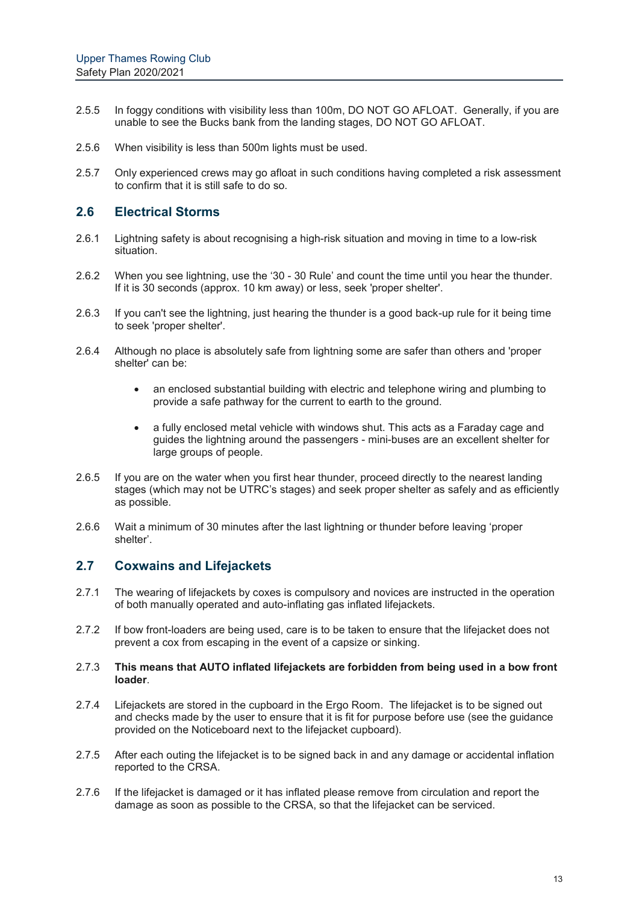- 2.5.5 In foggy conditions with visibility less than 100m, DO NOT GO AFLOAT. Generally, if you are unable to see the Bucks bank from the landing stages, DO NOT GO AFLOAT.
- 2.5.6 When visibility is less than 500m lights must be used.
- 2.5.7 Only experienced crews may go afloat in such conditions having completed a risk assessment to confirm that it is still safe to do so.

#### **2.6 Electrical Storms**

- 2.6.1 Lightning safety is about recognising a high-risk situation and moving in time to a low-risk situation.
- 2.6.2 When you see lightning, use the '30 30 Rule' and count the time until you hear the thunder. If it is 30 seconds (approx. 10 km away) or less, seek 'proper shelter'.
- 2.6.3 If you can't see the lightning, just hearing the thunder is a good back-up rule for it being time to seek 'proper shelter'.
- 2.6.4 Although no place is absolutely safe from lightning some are safer than others and 'proper shelter' can be:
	- an enclosed substantial building with electric and telephone wiring and plumbing to provide a safe pathway for the current to earth to the ground.
	- a fully enclosed metal vehicle with windows shut. This acts as a Faraday cage and guides the lightning around the passengers - mini-buses are an excellent shelter for large groups of people.
- 2.6.5 If you are on the water when you first hear thunder, proceed directly to the nearest landing stages (which may not be UTRC's stages) and seek proper shelter as safely and as efficiently as possible.
- 2.6.6 Wait a minimum of 30 minutes after the last lightning or thunder before leaving 'proper shelter'.

### **2.7 Coxwains and Lifejackets**

- 2.7.1 The wearing of lifejackets by coxes is compulsory and novices are instructed in the operation of both manually operated and auto-inflating gas inflated lifejackets.
- 2.7.2 If bow front-loaders are being used, care is to be taken to ensure that the lifejacket does not prevent a cox from escaping in the event of a capsize or sinking.

#### 2.7.3 **This means that AUTO inflated lifejackets are forbidden from being used in a bow front loader**.

- 2.7.4 Lifejackets are stored in the cupboard in the Ergo Room. The lifejacket is to be signed out and checks made by the user to ensure that it is fit for purpose before use (see the guidance provided on the Noticeboard next to the lifejacket cupboard).
- 2.7.5 After each outing the lifejacket is to be signed back in and any damage or accidental inflation reported to the CRSA.
- 2.7.6 If the lifejacket is damaged or it has inflated please remove from circulation and report the damage as soon as possible to the CRSA, so that the lifejacket can be serviced.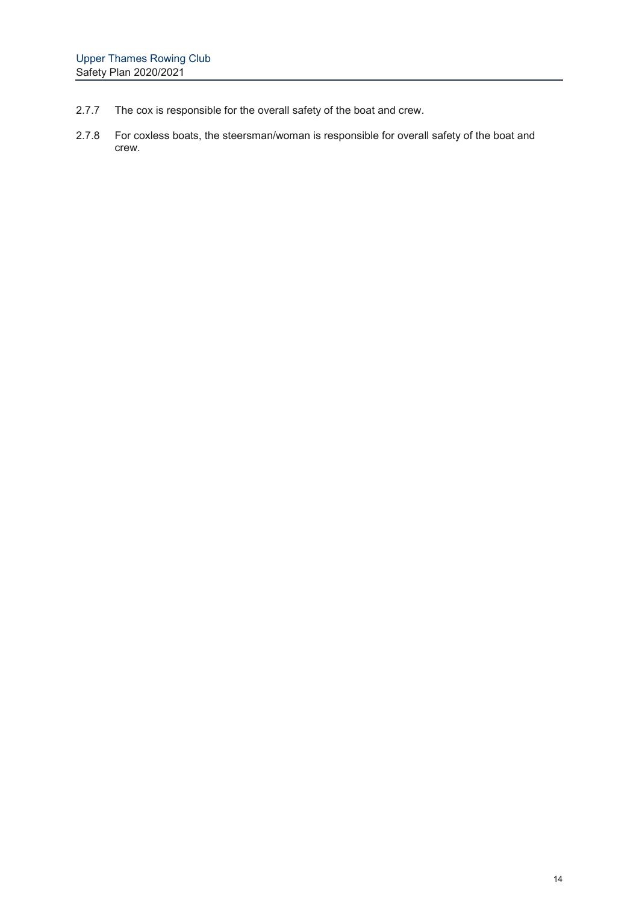- 2.7.7 The cox is responsible for the overall safety of the boat and crew.
- 2.7.8 For coxless boats, the steersman/woman is responsible for overall safety of the boat and crew.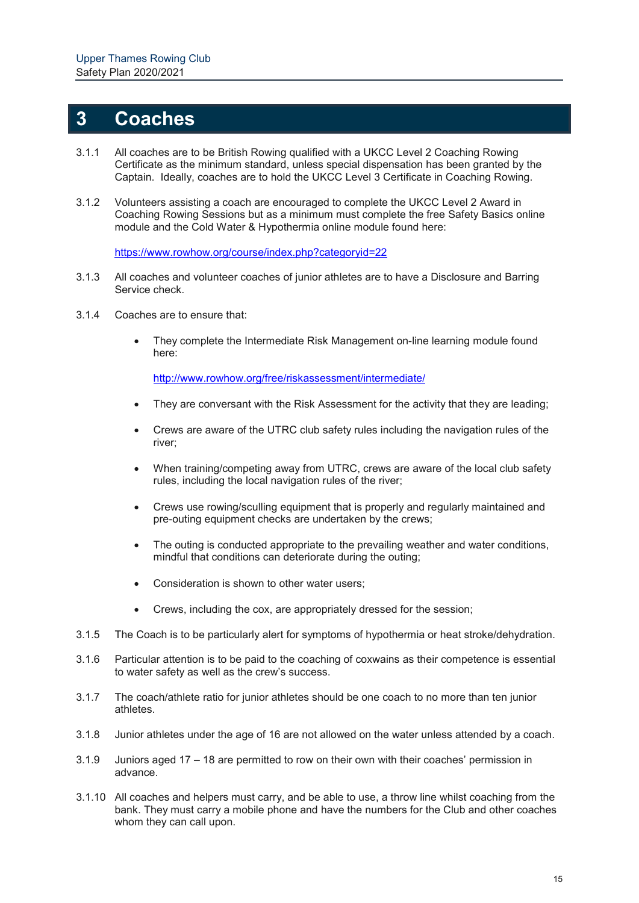## **3 Coaches**

- 3.1.1 All coaches are to be British Rowing qualified with a UKCC Level 2 Coaching Rowing Certificate as the minimum standard, unless special dispensation has been granted by the Captain. Ideally, coaches are to hold the UKCC Level 3 Certificate in Coaching Rowing.
- 3.1.2 Volunteers assisting a coach are encouraged to complete the UKCC Level 2 Award in Coaching Rowing Sessions but as a minimum must complete the free Safety Basics online module and the Cold Water & Hypothermia online module found here:

https://www.rowhow.org/course/index.php?categoryid=22

- 3.1.3 All coaches and volunteer coaches of junior athletes are to have a Disclosure and Barring Service check.
- 3.1.4 Coaches are to ensure that:
	- They complete the Intermediate Risk Management on-line learning module found here:

http://www.rowhow.org/free/riskassessment/intermediate/

- They are conversant with the Risk Assessment for the activity that they are leading;
- Crews are aware of the UTRC club safety rules including the navigation rules of the river;
- When training/competing away from UTRC, crews are aware of the local club safety rules, including the local navigation rules of the river;
- Crews use rowing/sculling equipment that is properly and regularly maintained and pre-outing equipment checks are undertaken by the crews;
- The outing is conducted appropriate to the prevailing weather and water conditions, mindful that conditions can deteriorate during the outing;
- Consideration is shown to other water users;
- Crews, including the cox, are appropriately dressed for the session;
- 3.1.5 The Coach is to be particularly alert for symptoms of hypothermia or heat stroke/dehydration.
- 3.1.6 Particular attention is to be paid to the coaching of coxwains as their competence is essential to water safety as well as the crew's success.
- 3.1.7 The coach/athlete ratio for junior athletes should be one coach to no more than ten junior athletes.
- 3.1.8 Junior athletes under the age of 16 are not allowed on the water unless attended by a coach.
- 3.1.9 Juniors aged 17 18 are permitted to row on their own with their coaches' permission in advance.
- 3.1.10 All coaches and helpers must carry, and be able to use, a throw line whilst coaching from the bank. They must carry a mobile phone and have the numbers for the Club and other coaches whom they can call upon.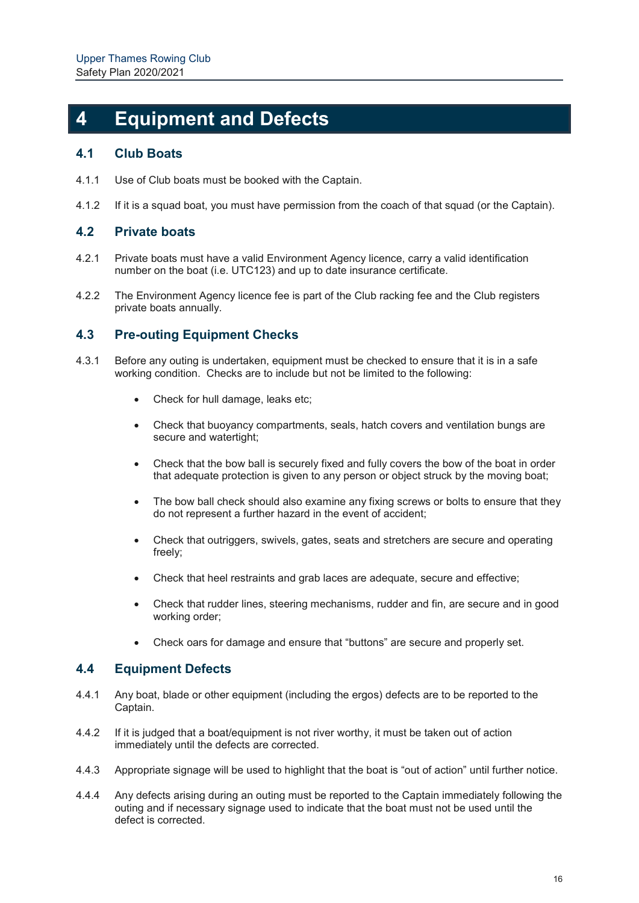## **4 Equipment and Defects**

### **4.1 Club Boats**

- 4.1.1 Use of Club boats must be booked with the Captain.
- 4.1.2 If it is a squad boat, you must have permission from the coach of that squad (or the Captain).

### **4.2 Private boats**

- 4.2.1 Private boats must have a valid Environment Agency licence, carry a valid identification number on the boat (i.e. UTC123) and up to date insurance certificate.
- 4.2.2 The Environment Agency licence fee is part of the Club racking fee and the Club registers private boats annually.

### **4.3 Pre-outing Equipment Checks**

- 4.3.1 Before any outing is undertaken, equipment must be checked to ensure that it is in a safe working condition. Checks are to include but not be limited to the following:
	- Check for hull damage, leaks etc;
	- Check that buoyancy compartments, seals, hatch covers and ventilation bungs are secure and watertight;
	- Check that the bow ball is securely fixed and fully covers the bow of the boat in order that adequate protection is given to any person or object struck by the moving boat;
	- The bow ball check should also examine any fixing screws or bolts to ensure that they do not represent a further hazard in the event of accident;
	- Check that outriggers, swivels, gates, seats and stretchers are secure and operating freely;
	- Check that heel restraints and grab laces are adequate, secure and effective;
	- Check that rudder lines, steering mechanisms, rudder and fin, are secure and in good working order;
	- Check oars for damage and ensure that "buttons" are secure and properly set.

### **4.4 Equipment Defects**

- 4.4.1 Any boat, blade or other equipment (including the ergos) defects are to be reported to the Captain.
- 4.4.2 If it is judged that a boat/equipment is not river worthy, it must be taken out of action immediately until the defects are corrected.
- 4.4.3 Appropriate signage will be used to highlight that the boat is "out of action" until further notice.
- 4.4.4 Any defects arising during an outing must be reported to the Captain immediately following the outing and if necessary signage used to indicate that the boat must not be used until the defect is corrected.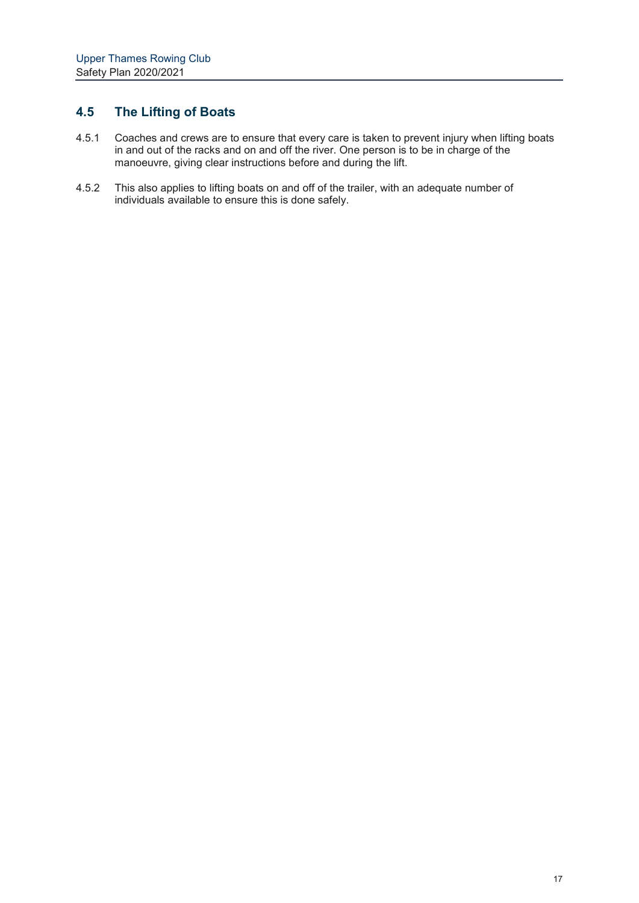## **4.5 The Lifting of Boats**

- 4.5.1 Coaches and crews are to ensure that every care is taken to prevent injury when lifting boats in and out of the racks and on and off the river. One person is to be in charge of the mand cat of the racio and on and on the fivent. One person to manoeuvre, giving clear instructions before and during the lift.
- 4.5.2 This also applies to lifting boats on and off of the trailer, with an adequate number of individuals available to ensure this is done safely.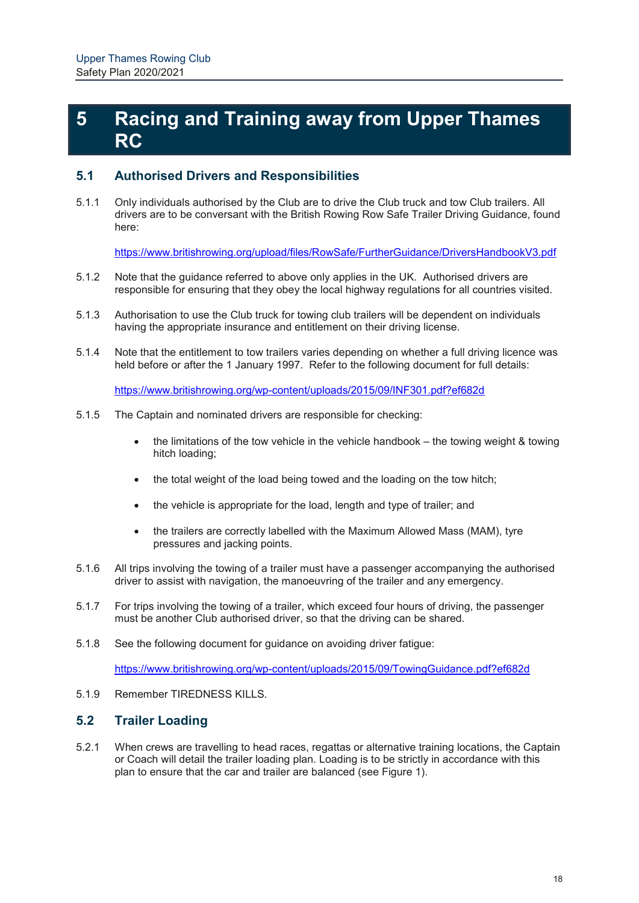## **5 Racing and Training away from Upper Thames RC**

### **5.1 Authorised Drivers and Responsibilities**

5.1.1 Only individuals authorised by the Club are to drive the Club truck and tow Club trailers. All drivers are to be conversant with the British Rowing Row Safe Trailer Driving Guidance, found here:

https://www.britishrowing.org/upload/files/RowSafe/FurtherGuidance/DriversHandbookV3.pdf

- 5.1.2 Note that the guidance referred to above only applies in the UK. Authorised drivers are responsible for ensuring that they obey the local highway regulations for all countries visited.
- 5.1.3 Authorisation to use the Club truck for towing club trailers will be dependent on individuals having the appropriate insurance and entitlement on their driving license.
- 5.1.4 Note that the entitlement to tow trailers varies depending on whether a full driving licence was held before or after the 1 January 1997. Refer to the following document for full details:

https://www.britishrowing.org/wp-content/uploads/2015/09/INF301.pdf?ef682d

- 5.1.5 The Captain and nominated drivers are responsible for checking:
	- the limitations of the tow vehicle in the vehicle handbook the towing weight & towing hitch loading;
	- the total weight of the load being towed and the loading on the tow hitch;
	- the vehicle is appropriate for the load, length and type of trailer; and
	- the trailers are correctly labelled with the Maximum Allowed Mass (MAM), tyre pressures and jacking points.
- 5.1.6 All trips involving the towing of a trailer must have a passenger accompanying the authorised driver to assist with navigation, the manoeuvring of the trailer and any emergency.
- 5.1.7 For trips involving the towing of a trailer, which exceed four hours of driving, the passenger must be another Club authorised driver, so that the driving can be shared.
- 5.1.8 See the following document for guidance on avoiding driver fatigue:

https://www.britishrowing.org/wp-content/uploads/2015/09/TowingGuidance.pdf?ef682d

5.1.9 Remember TIREDNESS KILLS.

### **5.2 Trailer Loading**

5.2.1 When crews are travelling to head races, regattas or alternative training locations, the Captain or Coach will detail the trailer loading plan. Loading is to be strictly in accordance with this plan to ensure that the car and trailer are balanced (see Figure 1).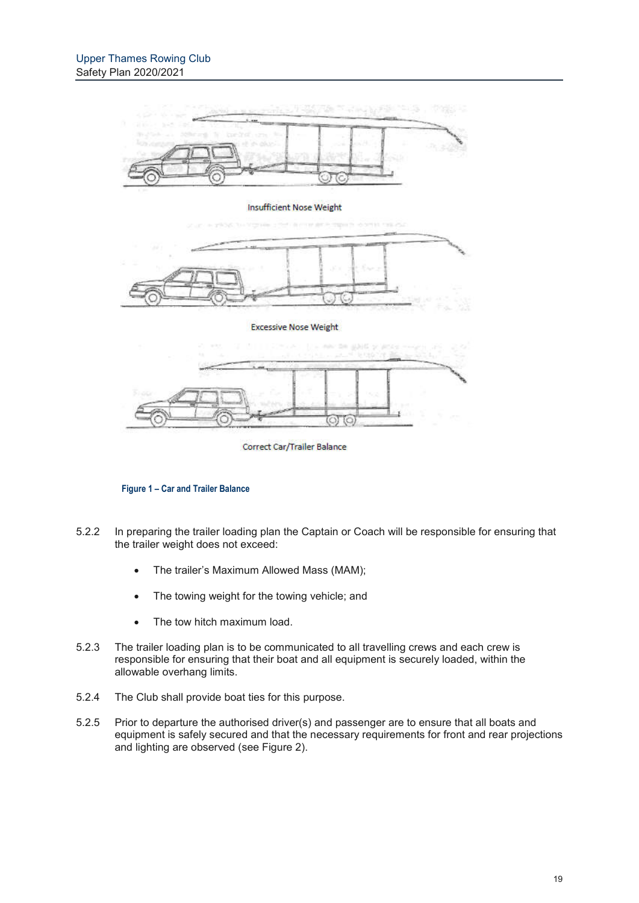

Correct Car/Trailer Balance

#### **Figure 1 – Car and Trailer Balance**

- 5.2.2 In preparing the trailer loading plan the Captain or Coach will be responsible for ensuring that the trailer weight does not exceed:
	- The trailer's Maximum Allowed Mass (MAM);
	- The towing weight for the towing vehicle; and
	- The tow hitch maximum load.
- 5.2.3 The trailer loading plan is to be communicated to all travelling crews and each crew is responsible for ensuring that their boat and all equipment is securely loaded, within the allowable overhang limits.
- 5.2.4 The Club shall provide boat ties for this purpose.
- 5.2.5 Prior to departure the authorised driver(s) and passenger are to ensure that all boats and equipment is safely secured and that the necessary requirements for front and rear projections and lighting are observed (see Figure 2).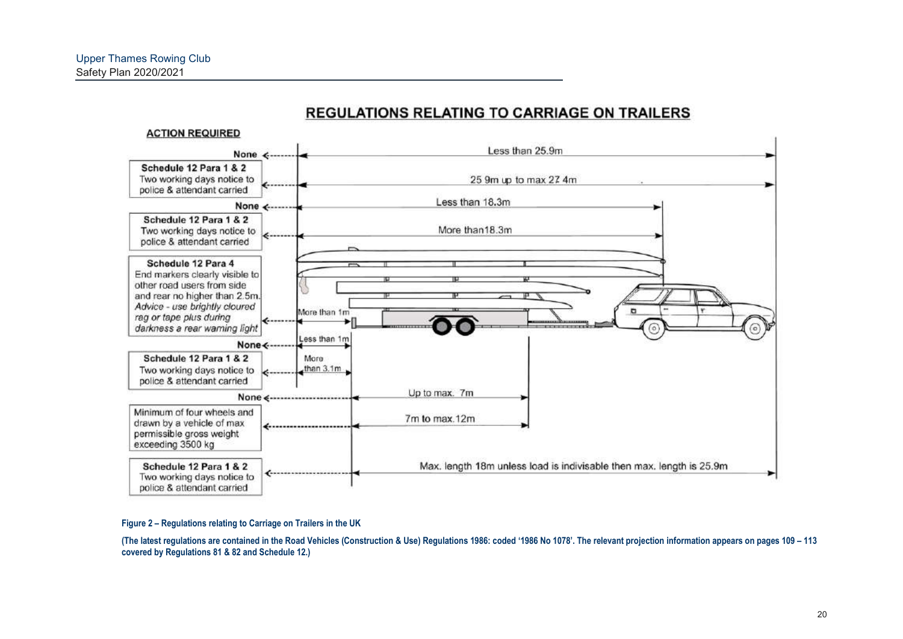

## **REGULATIONS RELATING TO CARRIAGE ON TRAILERS**

#### **Figure 2 – Regulations relating to Carriage on Trailers in the UK**

**(The latest regulations are contained in the Road Vehicles (Construction & Use) Regulations 1986: coded '1986 No 1078'. The relevant projection information appears on pages 109 – 113 covered by Regulations 81 & 82 and Schedule 12.)**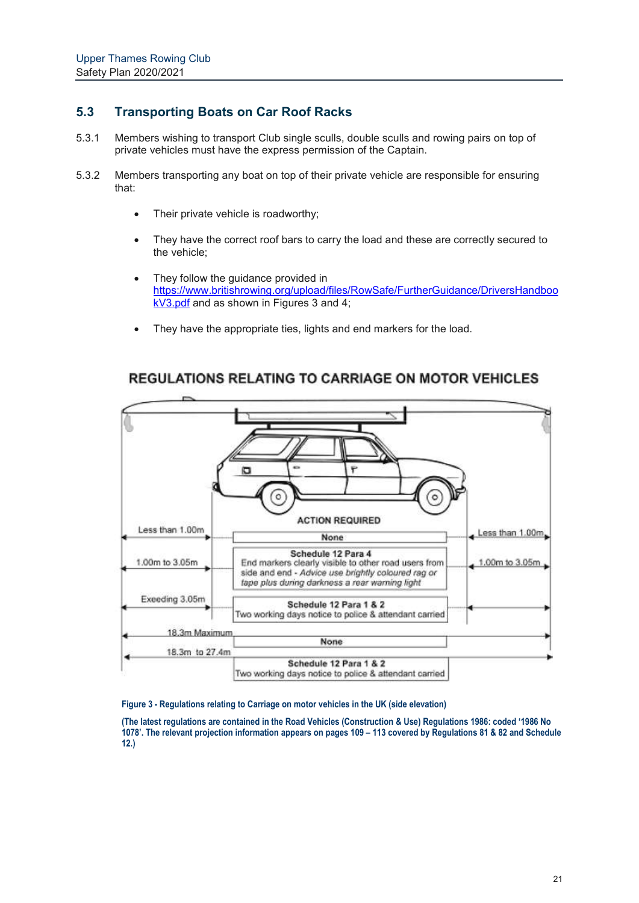## **5.3 Transporting Boats on Car Roof Racks**

- 5.3.1 Members wishing to transport Club single sculls, double sculls and rowing pairs on top of private vehicles must have the express permission of the Captain.
- 5.3.2 Members transporting any boat on top of their private vehicle are responsible for ensuring that:
	- Their private vehicle is roadworthy;
	- They have the correct roof bars to carry the load and these are correctly secured to the vehicle;
	- They follow the guidance provided in https://www.britishrowing.org/upload/files/RowSafe/FurtherGuidance/DriversHandboo kV3.pdf and as shown in Figures 3 and 4;
	- They have the appropriate ties, lights and end markers for the load.



## **REGULATIONS RELATING TO CARRIAGE ON MOTOR VEHICLES**

#### **Figure 3 - Regulations relating to Carriage on motor vehicles in the UK (side elevation)**

**(The latest regulations are contained in the Road Vehicles (Construction & Use) Regulations 1986: coded '1986 No 1078'. The relevant projection information appears on pages 109 – 113 covered by Regulations 81 & 82 and Schedule 12.)**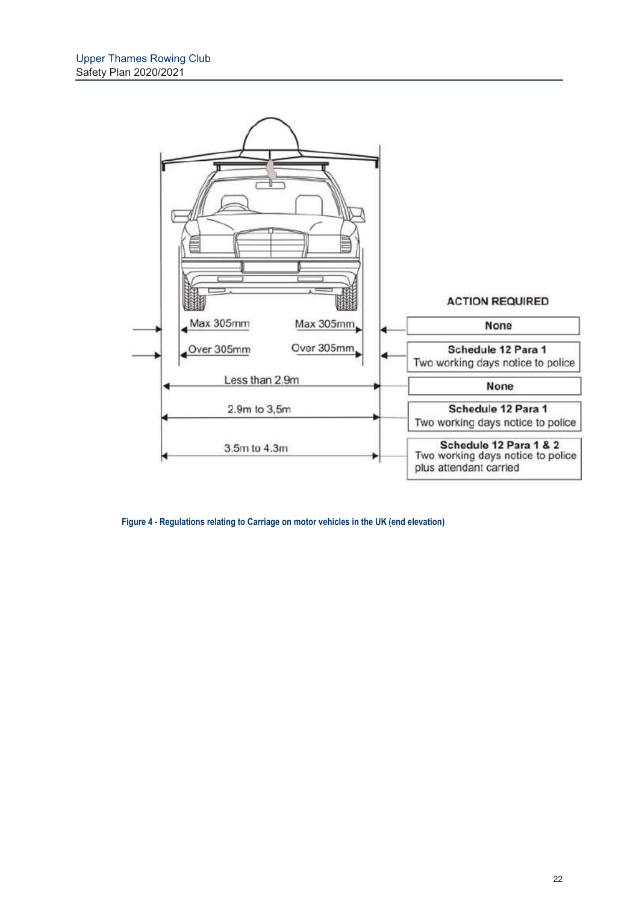

**Figure 4 - Regulations relating to Carriage on motor vehicles in the UK (end elevation)**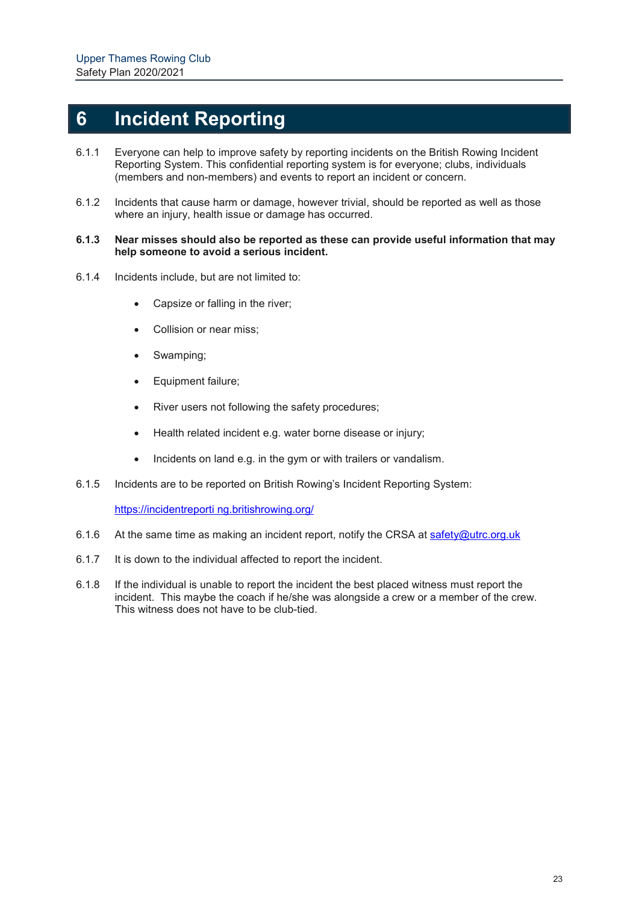## **6 Incident Reporting**

- 6.1.1 Everyone can help to improve safety by reporting incidents on the British Rowing Incident Reporting System. This confidential reporting system is for everyone; clubs, individuals (members and non-members) and events to report an incident or concern.
- 6.1.2 Incidents that cause harm or damage, however trivial, should be reported as well as those where an injury, health issue or damage has occurred.

#### **6.1.3 Near misses should also be reported as these can provide useful information that may help someone to avoid a serious incident.**

- 6.1.4 Incidents include, but are not limited to:
	- Capsize or falling in the river;
	- Collision or near miss;
	- Swamping;
	- Equipment failure;
	- River users not following the safety procedures;
	- Health related incident e.g. water borne disease or injury;
	- Incidents on land e.g. in the gym or with trailers or vandalism.
- 6.1.5 Incidents are to be reported on British Rowing's Incident Reporting System:

https://incidentreporti ng.britishrowing.org/

- 6.1.6 At the same time as making an incident report, notify the CRSA at safety@utrc.org.uk
- 6.1.7 It is down to the individual affected to report the incident.
- 6.1.8 If the individual is unable to report the incident the best placed witness must report the incident. This maybe the coach if he/she was alongside a crew or a member of the crew. This witness does not have to be club-tied.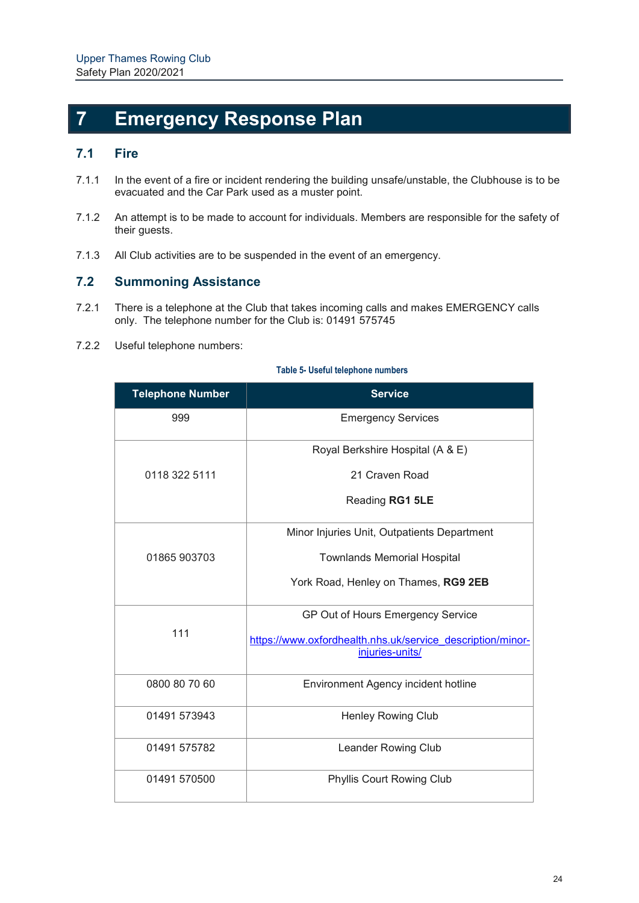## **7 Emergency Response Plan**

### **7.1 Fire**

- 7.1.1 In the event of a fire or incident rendering the building unsafe/unstable, the Clubhouse is to be evacuated and the Car Park used as a muster point.
- 7.1.2 An attempt is to be made to account for individuals. Members are responsible for the safety of their guests.
- 7.1.3 All Club activities are to be suspended in the event of an emergency.

## **7.2 Summoning Assistance**

- 7.2.1 There is a telephone at the Club that takes incoming calls and makes EMERGENCY calls only. The telephone number for the Club is: 01491 575745
- 7.2.2 Useful telephone numbers:

| <b>Telephone Number</b> | <b>Service</b>                                                                |
|-------------------------|-------------------------------------------------------------------------------|
| 999                     | <b>Emergency Services</b>                                                     |
|                         | Royal Berkshire Hospital (A & E)                                              |
| 0118 322 5111           | 21 Craven Road                                                                |
|                         | Reading RG1 5LE                                                               |
|                         | Minor Injuries Unit, Outpatients Department                                   |
| 01865 903703            | <b>Townlands Memorial Hospital</b>                                            |
|                         | York Road, Henley on Thames, RG9 2EB                                          |
|                         | GP Out of Hours Emergency Service                                             |
| 111                     | https://www.oxfordhealth.nhs.uk/service_description/minor-<br>injuries-units/ |
| 0800 80 70 60           | Environment Agency incident hotline                                           |
| 01491 573943            | <b>Henley Rowing Club</b>                                                     |
| 01491 575782            | Leander Rowing Club                                                           |
| 01491 570500            | <b>Phyllis Court Rowing Club</b>                                              |

#### **Table 5- Useful telephone numbers**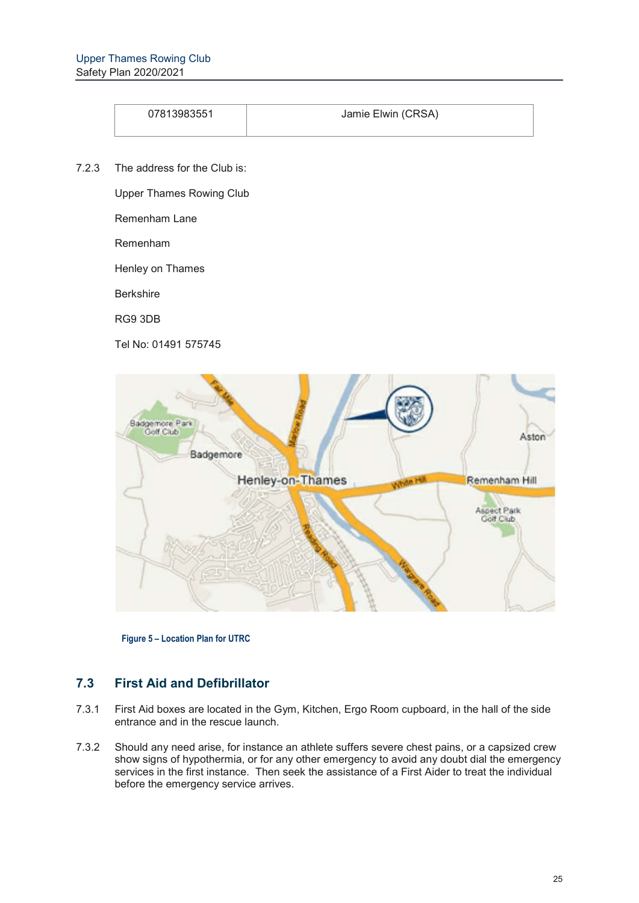| 07813983551 | Jamie Elwin (CRSA) |
|-------------|--------------------|

7.2.3 The address for the Club is:

Upper Thames Rowing Club

Remenham Lane

Remenham

Henley on Thames

Berkshire

RG9 3DB

Tel No: 01491 575745



**Figure 5 – Location Plan for UTRC**

## **7.3 First Aid and Defibrillator**

- 7.3.1 First Aid boxes are located in the Gym, Kitchen, Ergo Room cupboard, in the hall of the side entrance and in the rescue launch.
- 7.3.2 Should any need arise, for instance an athlete suffers severe chest pains, or a capsized crew show signs of hypothermia, or for any other emergency to avoid any doubt dial the emergency services in the first instance. Then seek the assistance of a First Aider to treat the individual before the emergency service arrives.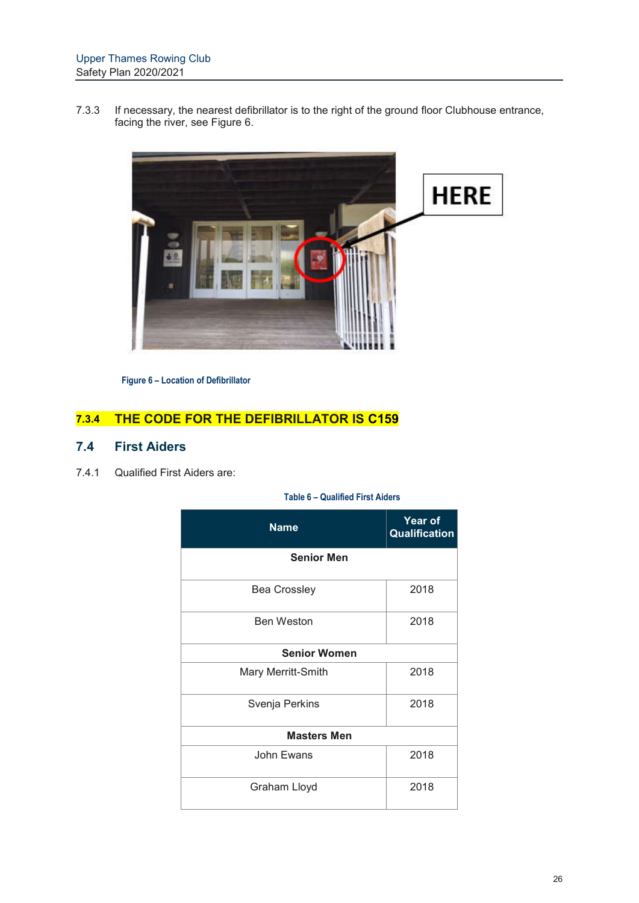7.3.3 If necessary, the nearest defibrillator is to the right of the ground floor Clubhouse entrance, facing the river, see Figure 6.



**Figure 6 – Location of Defibrillator**

## **7.3.4 THE CODE FOR THE DEFIBRILLATOR IS C159**

### **7.4 First Aiders**

7.4.1 Qualified First Aiders are:

#### **Table 6 – Qualified First Aiders**

| <b>Name</b>         | <b>Year of</b><br>Qualification |  |  |
|---------------------|---------------------------------|--|--|
| <b>Senior Men</b>   |                                 |  |  |
| <b>Bea Crossley</b> | 2018                            |  |  |
| <b>Ben Weston</b>   | 2018                            |  |  |
| <b>Senior Women</b> |                                 |  |  |
| Mary Merritt-Smith  | 2018                            |  |  |
| Svenja Perkins      | 2018                            |  |  |
| <b>Masters Men</b>  |                                 |  |  |
| John Ewans          | 2018                            |  |  |
| Graham Lloyd        | 2018                            |  |  |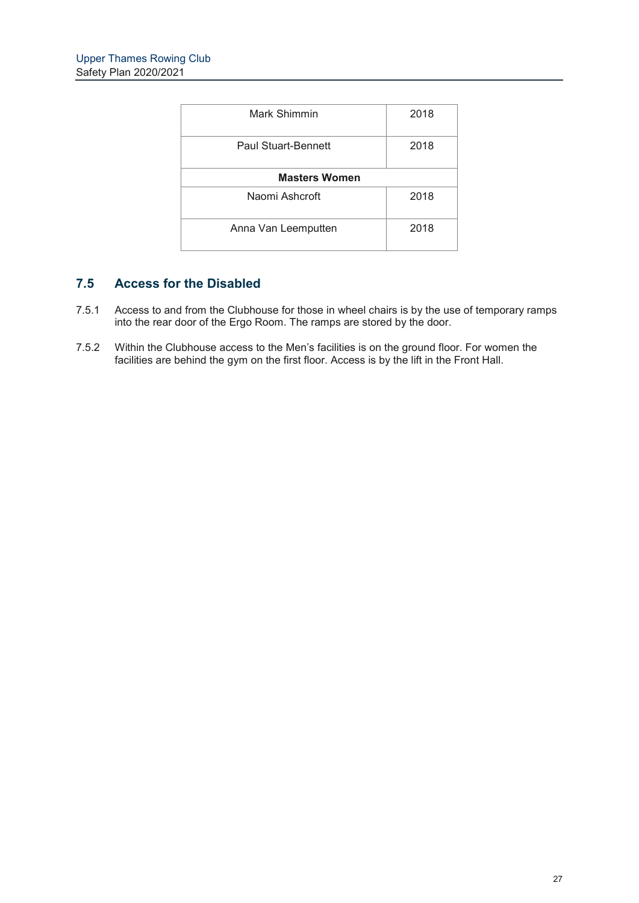| Mark Shimmin               | 2018 |
|----------------------------|------|
| <b>Paul Stuart-Bennett</b> | 2018 |
| <b>Masters Women</b>       |      |
| Naomi Ashcroft             | 2018 |
| Anna Van Leemputten        | 2018 |

## **7.5 Access for the Disabled**

- 7.5.1 Access to and from the Clubhouse for those in wheel chairs is by the use of temporary ramps Access to and nonrate chapteled by the rearch of the rear door of the Ergo Room. The ramps are stored by the door.
- 7.5.2 Within the Clubhouse access to the Men's facilities is on the ground floor. For women the facilities are behind the gym on the first floor. Access is by the lift in the Front Hall.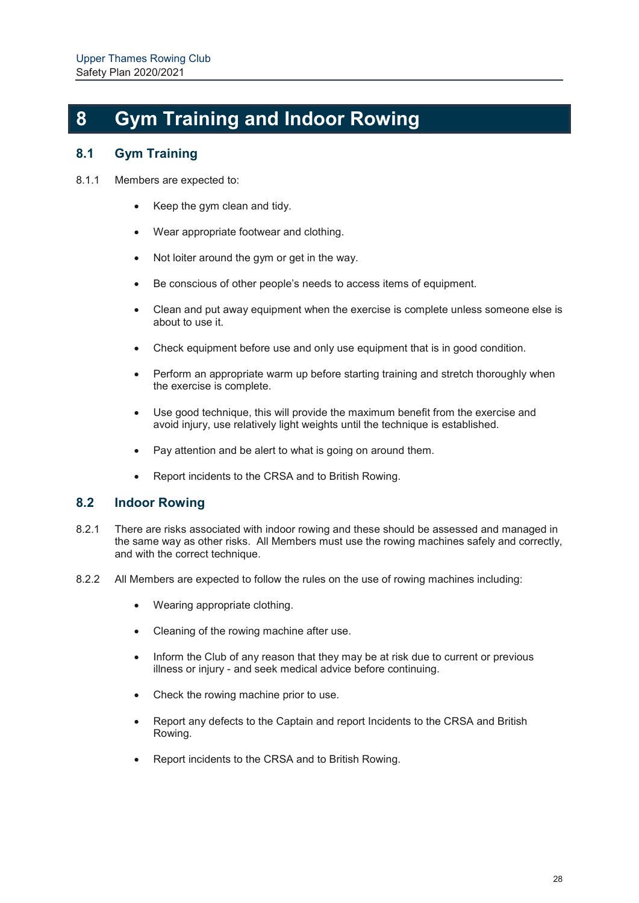## **8 Gym Training and Indoor Rowing**

## **8.1 Gym Training**

- 8.1.1 Members are expected to:
	- Keep the gym clean and tidy.
	- Wear appropriate footwear and clothing.
	- Not loiter around the gym or get in the way.
	- Be conscious of other people's needs to access items of equipment.
	- Clean and put away equipment when the exercise is complete unless someone else is about to use it.
	- Check equipment before use and only use equipment that is in good condition.
	- Perform an appropriate warm up before starting training and stretch thoroughly when the exercise is complete.
	- Use good technique, this will provide the maximum benefit from the exercise and avoid injury, use relatively light weights until the technique is established.
	- Pay attention and be alert to what is going on around them.
	- Report incidents to the CRSA and to British Rowing.

### **8.2 Indoor Rowing**

- 8.2.1 There are risks associated with indoor rowing and these should be assessed and managed in the same way as other risks. All Members must use the rowing machines safely and correctly, and with the correct technique.
- 8.2.2 All Members are expected to follow the rules on the use of rowing machines including:
	- Wearing appropriate clothing.
	- Cleaning of the rowing machine after use.
	- Inform the Club of any reason that they may be at risk due to current or previous illness or injury - and seek medical advice before continuing.
	- Check the rowing machine prior to use.
	- Report any defects to the Captain and report Incidents to the CRSA and British Rowing.
	- Report incidents to the CRSA and to British Rowing.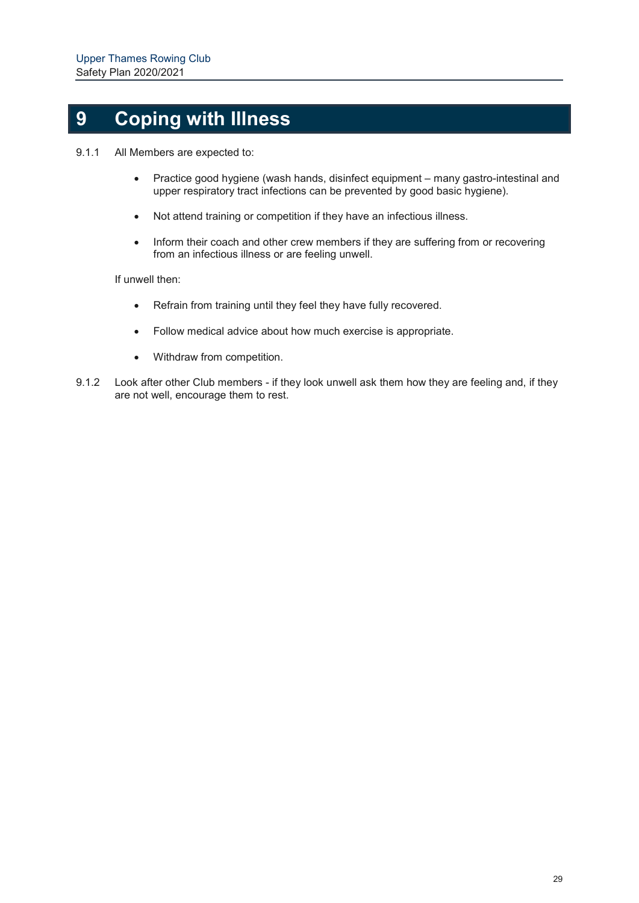# **9 Coping with Illness**

- 9.1.1 All Members are expected to:
	- Practice good hygiene (wash hands, disinfect equipment many gastro-intestinal and upper respiratory tract infections can be prevented by good basic hygiene).
	- Not attend training or competition if they have an infectious illness.
	- Inform their coach and other crew members if they are suffering from or recovering from an infectious illness or are feeling unwell.

If unwell then:

- Refrain from training until they feel they have fully recovered.
- Follow medical advice about how much exercise is appropriate.
- Withdraw from competition.
- 9.1.2 Look after other Club members if they look unwell ask them how they are feeling and, if they are not well, encourage them to rest.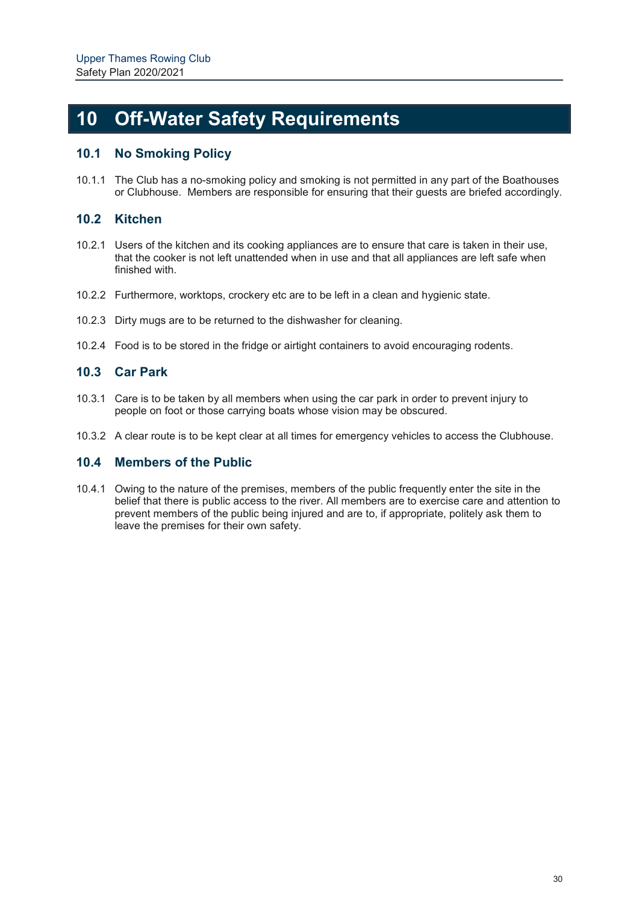## **10 Off-Water Safety Requirements**

## **10.1 No Smoking Policy**

10.1.1 The Club has a no-smoking policy and smoking is not permitted in any part of the Boathouses or Clubhouse. Members are responsible for ensuring that their guests are briefed accordingly.

## **10.2 Kitchen**

- 10.2.1 Users of the kitchen and its cooking appliances are to ensure that care is taken in their use, that the cooker is not left unattended when in use and that all appliances are left safe when finished with.
- 10.2.2 Furthermore, worktops, crockery etc are to be left in a clean and hygienic state.
- 10.2.3 Dirty mugs are to be returned to the dishwasher for cleaning.
- 10.2.4 Food is to be stored in the fridge or airtight containers to avoid encouraging rodents.

## **10.3 Car Park**

- 10.3.1 Care is to be taken by all members when using the car park in order to prevent injury to people on foot or those carrying boats whose vision may be obscured.
- 10.3.2 A clear route is to be kept clear at all times for emergency vehicles to access the Clubhouse.

### **10.4 Members of the Public**

10.4.1 Owing to the nature of the premises, members of the public frequently enter the site in the belief that there is public access to the river. All members are to exercise care and attention to prevent members of the public being injured and are to, if appropriate, politely ask them to leave the premises for their own safety.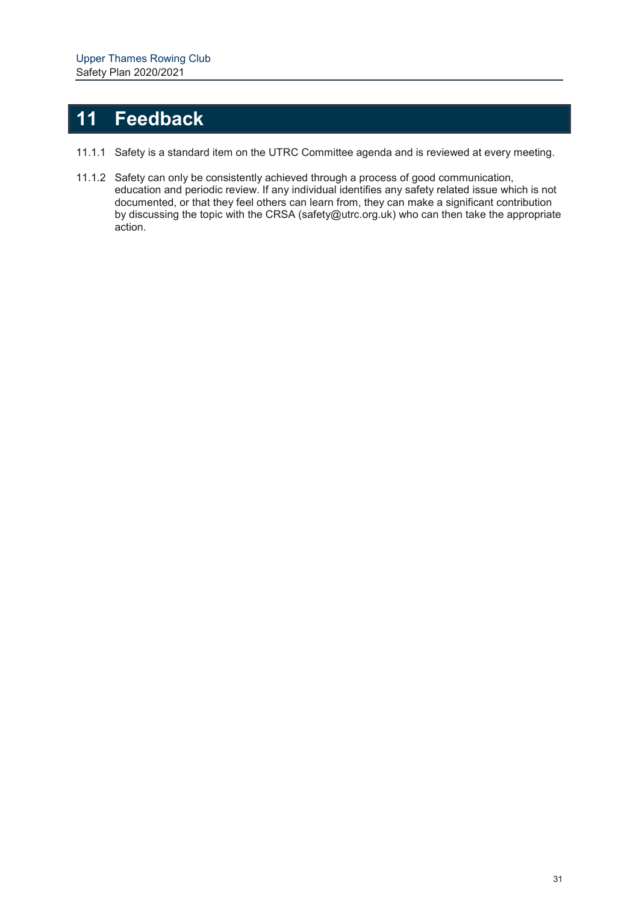## **11 Feedback**

- 11.1.1 Safety is a standard item on the UTRC Committee agenda and is reviewed at every meeting.
- 11.1.2 Safety can only be consistently achieved through a process of good communication, education and periodic review. If any individual identifies any safety related issue which is not documented, or that they feel others can learn from, they can make a significant contribution by discussing the topic with the CRSA (safety@utrc.org.uk) who can then take the appropriate action.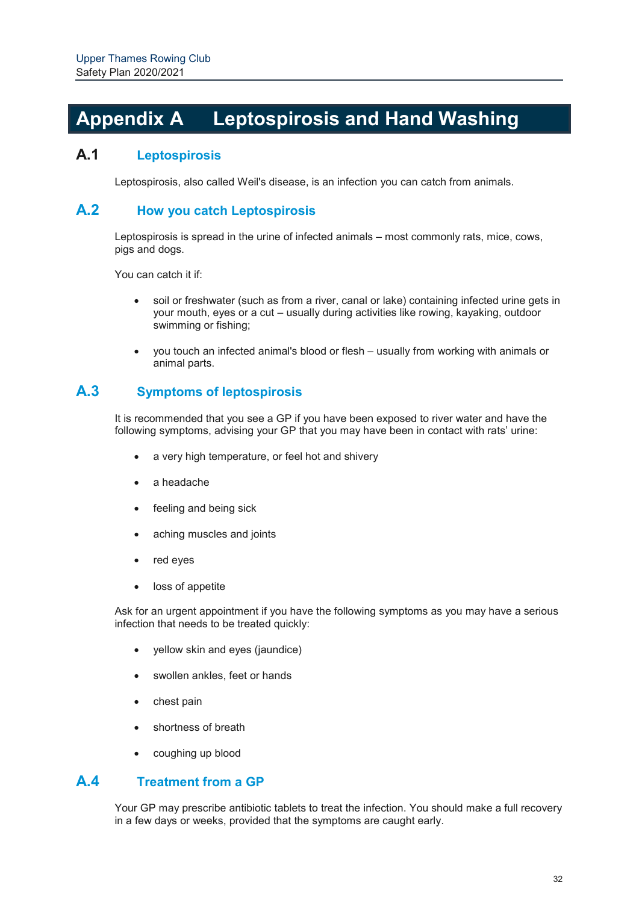## **Appendix A Leptospirosis and Hand Washing**

## **A.1 Leptospirosis**

Leptospirosis, also called Weil's disease, is an infection you can catch from animals.

### **A.2 How you catch Leptospirosis**

Leptospirosis is spread in the urine of infected animals – most commonly rats, mice, cows, pigs and dogs.

You can catch it if:

- soil or freshwater (such as from a river, canal or lake) containing infected urine gets in your mouth, eyes or a cut – usually during activities like rowing, kayaking, outdoor swimming or fishing;
- you touch an infected animal's blood or flesh usually from working with animals or animal parts.

## **A.3 Symptoms of leptospirosis**

It is recommended that you see a GP if you have been exposed to river water and have the following symptoms, advising your GP that you may have been in contact with rats' urine:

- a very high temperature, or feel hot and shivery
- a headache
- feeling and being sick
- aching muscles and joints
- red eyes
- loss of appetite

Ask for an urgent appointment if you have the following symptoms as you may have a serious infection that needs to be treated quickly:

- yellow skin and eyes (jaundice)
- swollen ankles, feet or hands
- chest pain
- shortness of breath
- coughing up blood

### **A.4 Treatment from a GP**

Your GP may prescribe antibiotic tablets to treat the infection. You should make a full recovery in a few days or weeks, provided that the symptoms are caught early.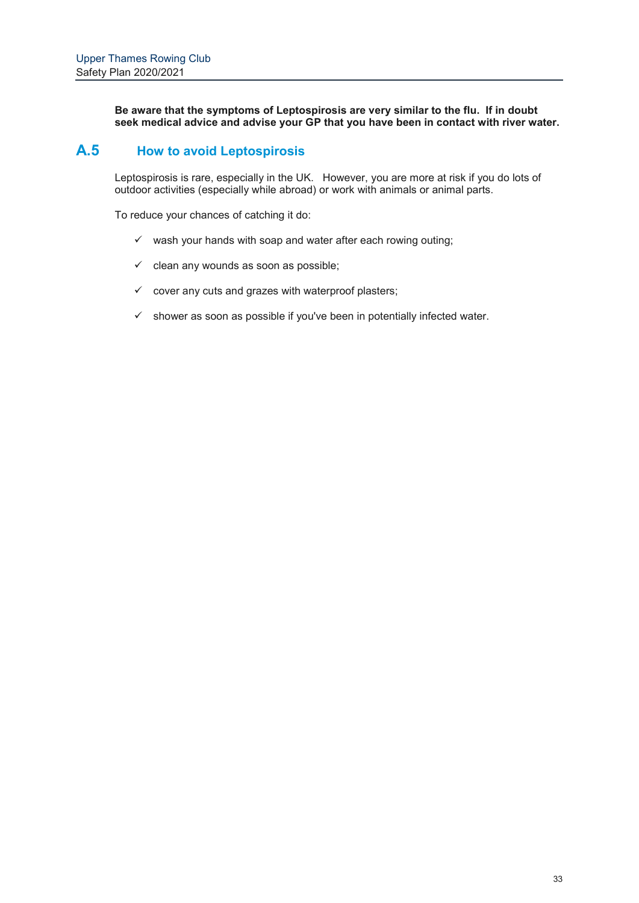**Be aware that the symptoms of Leptospirosis are very similar to the flu. If in doubt seek medical advice and advise your GP that you have been in contact with river water.**

## **A.5 How to avoid Leptospirosis**

Leptospirosis is rare, especially in the UK. However, you are more at risk if you do lots of outdoor activities (especially while abroad) or work with animals or animal parts.

To reduce your chances of catching it do:

- $\checkmark$  wash your hands with soap and water after each rowing outing;
- $\checkmark$  clean any wounds as soon as possible;
- $\checkmark$  cover any cuts and grazes with waterproof plasters;
- $\checkmark$  shower as soon as possible if you've been in potentially infected water.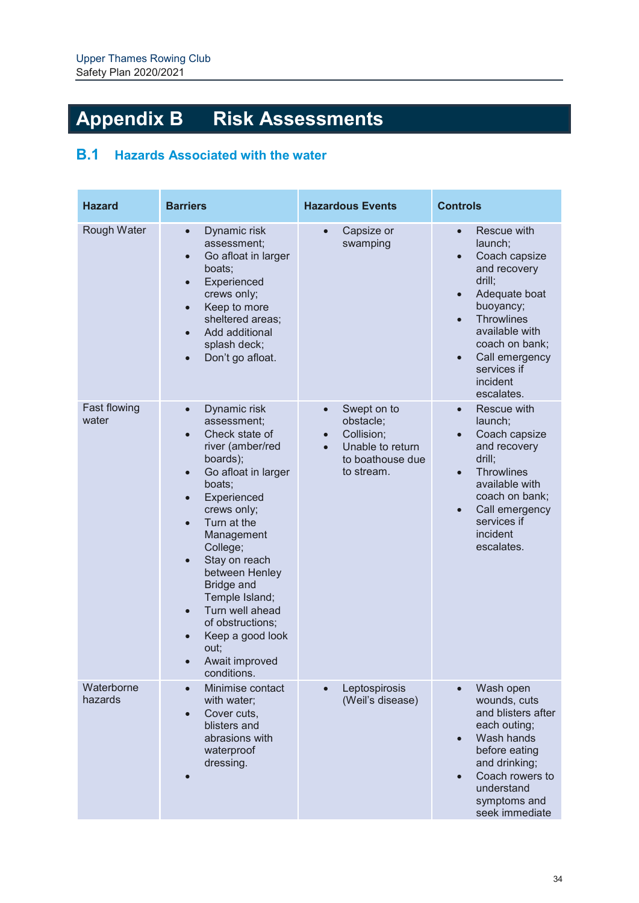# **Appendix B Risk Assessments**

## **B.1 Hazards Associated with the water**

| <b>Hazard</b>         | <b>Barriers</b>                                                                                                                                                                                                                                                                                                                                                                                                                            | <b>Hazardous Events</b>                                                                                   | <b>Controls</b>                                                                                                                                                                                                                                                         |
|-----------------------|--------------------------------------------------------------------------------------------------------------------------------------------------------------------------------------------------------------------------------------------------------------------------------------------------------------------------------------------------------------------------------------------------------------------------------------------|-----------------------------------------------------------------------------------------------------------|-------------------------------------------------------------------------------------------------------------------------------------------------------------------------------------------------------------------------------------------------------------------------|
| Rough Water           | Dynamic risk<br>$\bullet$<br>assessment;<br>Go afloat in larger<br>$\bullet$<br>boats;<br>Experienced<br>$\bullet$<br>crews only;<br>Keep to more<br>$\bullet$<br>sheltered areas;<br>Add additional<br>$\bullet$<br>splash deck;<br>Don't go afloat.<br>$\bullet$                                                                                                                                                                         | Capsize or<br>$\bullet$<br>swamping                                                                       | Rescue with<br>$\bullet$<br>launch;<br>Coach capsize<br>$\bullet$<br>and recovery<br>drill;<br>Adequate boat<br>$\bullet$<br>buoyancy;<br><b>Throwlines</b><br>$\bullet$<br>available with<br>coach on bank;<br>Call emergency<br>services if<br>incident<br>escalates. |
| Fast flowing<br>water | Dynamic risk<br>$\bullet$<br>assessment;<br>Check state of<br>river (amber/red<br>boards);<br>Go afloat in larger<br>$\bullet$<br>boats;<br>Experienced<br>$\bullet$<br>crews only;<br>Turn at the<br>Management<br>College;<br>Stay on reach<br>$\bullet$<br>between Henley<br>Bridge and<br>Temple Island;<br>Turn well ahead<br>$\bullet$<br>of obstructions;<br>Keep a good look<br>$\bullet$<br>out;<br>Await improved<br>conditions. | Swept on to<br>$\bullet$<br>obstacle;<br>Collision;<br>Unable to return<br>to boathouse due<br>to stream. | Rescue with<br>$\bullet$<br>launch;<br>Coach capsize<br>and recovery<br>drill;<br><b>Throwlines</b><br>available with<br>coach on bank;<br>Call emergency<br>$\bullet$<br>services if<br>incident<br>escalates.                                                         |
| Waterborne<br>hazards | Minimise contact<br>$\bullet$<br>with water;<br>Cover cuts,<br>$\bullet$<br>blisters and<br>abrasions with<br>waterproof<br>dressing.                                                                                                                                                                                                                                                                                                      | Leptospirosis<br>$\bullet$<br>(Weil's disease)                                                            | Wash open<br>wounds, cuts<br>and blisters after<br>each outing;<br>Wash hands<br>$\bullet$<br>before eating<br>and drinking;<br>Coach rowers to<br>$\bullet$<br>understand<br>symptoms and<br>seek immediate                                                            |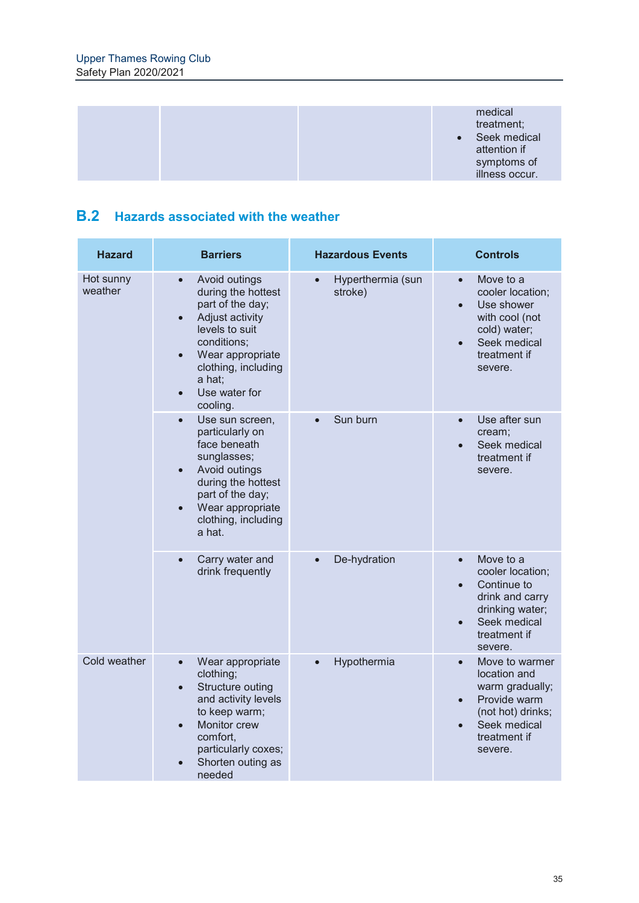

## **B.2 Hazards associated with the weather**

| <b>Hazard</b>        | <b>Barriers</b>                                                                                                                                                                                                                      | <b>Hazardous Events</b>                   | <b>Controls</b>                                                                                                                                                      |
|----------------------|--------------------------------------------------------------------------------------------------------------------------------------------------------------------------------------------------------------------------------------|-------------------------------------------|----------------------------------------------------------------------------------------------------------------------------------------------------------------------|
| Hot sunny<br>weather | Avoid outings<br>$\bullet$<br>during the hottest<br>part of the day;<br>Adjust activity<br>$\bullet$<br>levels to suit<br>conditions;<br>Wear appropriate<br>$\bullet$<br>clothing, including<br>a hat;<br>Use water for<br>cooling. | Hyperthermia (sun<br>$\bullet$<br>stroke) | Move to a<br>$\bullet$<br>cooler location;<br>Use shower<br>$\bullet$<br>with cool (not<br>cold) water;<br>Seek medical<br>treatment if<br>severe.                   |
|                      | Use sun screen,<br>$\bullet$<br>particularly on<br>face beneath<br>sunglasses;<br>Avoid outings<br>$\bullet$<br>during the hottest<br>part of the day;<br>Wear appropriate<br>clothing, including<br>a hat.                          | Sun burn<br>$\bullet$                     | Use after sun<br>$\bullet$<br>cream;<br>Seek medical<br>treatment if<br>severe.                                                                                      |
|                      | Carry water and<br>$\bullet$<br>drink frequently                                                                                                                                                                                     | De-hydration                              | Move to a<br>$\bullet$<br>cooler location;<br>Continue to<br>$\bullet$<br>drink and carry<br>drinking water;<br>Seek medical<br>$\bullet$<br>treatment if<br>severe. |
| Cold weather         | Wear appropriate<br>$\bullet$<br>clothing;<br>Structure outing<br>$\bullet$<br>and activity levels<br>to keep warm;<br>Monitor crew<br>$\bullet$<br>comfort,<br>particularly coxes;<br>Shorten outing as<br>needed                   | Hypothermia<br>$\bullet$                  | Move to warmer<br>$\bullet$<br>location and<br>warm gradually;<br>Provide warm<br>$\bullet$<br>(not hot) drinks;<br>Seek medical<br>treatment if<br>severe.          |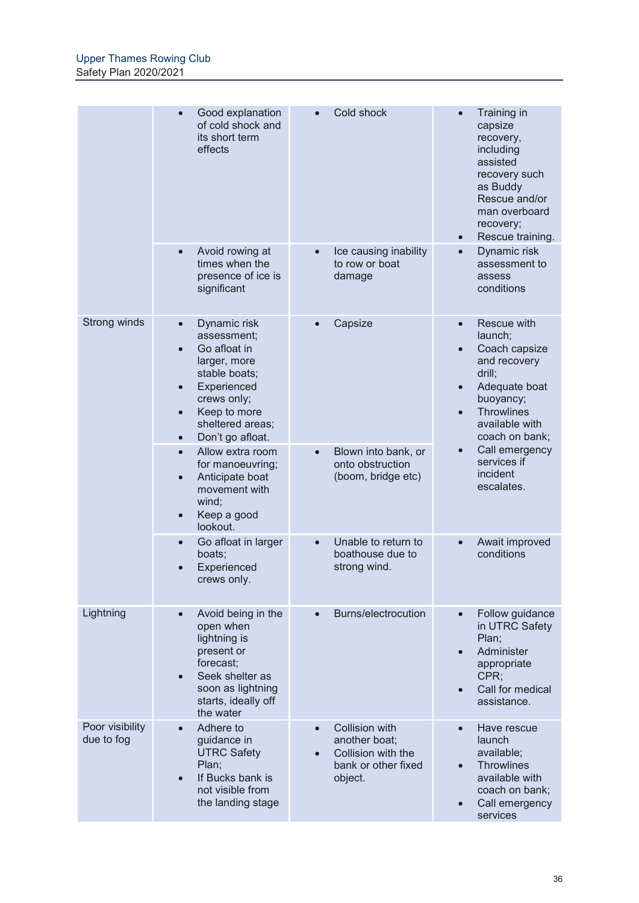|                               | Good explanation<br>of cold shock and<br>its short term<br>effects                                                                                                                           | Cold shock                                                                              | Training in<br>capsize<br>recovery,<br>including<br>assisted<br>recovery such<br>as Buddy<br>Rescue and/or<br>man overboard<br>recovery;<br>Rescue training.<br>$\bullet$          |
|-------------------------------|----------------------------------------------------------------------------------------------------------------------------------------------------------------------------------------------|-----------------------------------------------------------------------------------------|------------------------------------------------------------------------------------------------------------------------------------------------------------------------------------|
|                               | Avoid rowing at<br>times when the<br>presence of ice is<br>significant                                                                                                                       | Ice causing inability<br>to row or boat<br>damage                                       | Dynamic risk<br>$\bullet$<br>assessment to<br>assess<br>conditions                                                                                                                 |
| Strong winds                  | Dynamic risk<br>$\bullet$<br>assessment;<br>Go afloat in<br>larger, more<br>stable boats;<br>Experienced<br>crews only;<br>Keep to more<br>sheltered areas;<br>Don't go afloat.<br>$\bullet$ | Capsize                                                                                 | Rescue with<br>$\bullet$<br>launch:<br>Coach capsize<br>$\bullet$<br>and recovery<br>drill;<br>Adequate boat<br>buoyancy;<br><b>Throwlines</b><br>available with<br>coach on bank; |
|                               | Allow extra room<br>for manoeuvring;<br>Anticipate boat<br>movement with<br>wind;<br>Keep a good<br>lookout.                                                                                 | Blown into bank, or<br>onto obstruction<br>(boom, bridge etc)                           | Call emergency<br>services if<br>incident<br>escalates.                                                                                                                            |
|                               | Go afloat in larger<br>boats;<br>Experienced<br>crews only.                                                                                                                                  | Unable to return to<br>boathouse due to<br>strong wind.                                 | Await improved<br>conditions                                                                                                                                                       |
| Lightning                     | Avoid being in the<br>open when<br>lightning is<br>present or<br>forecast;<br>Seek shelter as<br>soon as lightning<br>starts, ideally off<br>the water                                       | Burns/electrocution                                                                     | Follow guidance<br>in UTRC Safety<br>Plan;<br>Administer<br>$\bullet$<br>appropriate<br>CPR;<br>Call for medical<br>assistance.                                                    |
| Poor visibility<br>due to fog | Adhere to<br>guidance in<br><b>UTRC Safety</b><br>Plan;<br>If Bucks bank is<br>not visible from<br>the landing stage                                                                         | Collision with<br>another boat;<br>Collision with the<br>bank or other fixed<br>object. | Have rescue<br>launch<br>available;<br><b>Throwlines</b><br>available with<br>coach on bank;<br>Call emergency<br>services                                                         |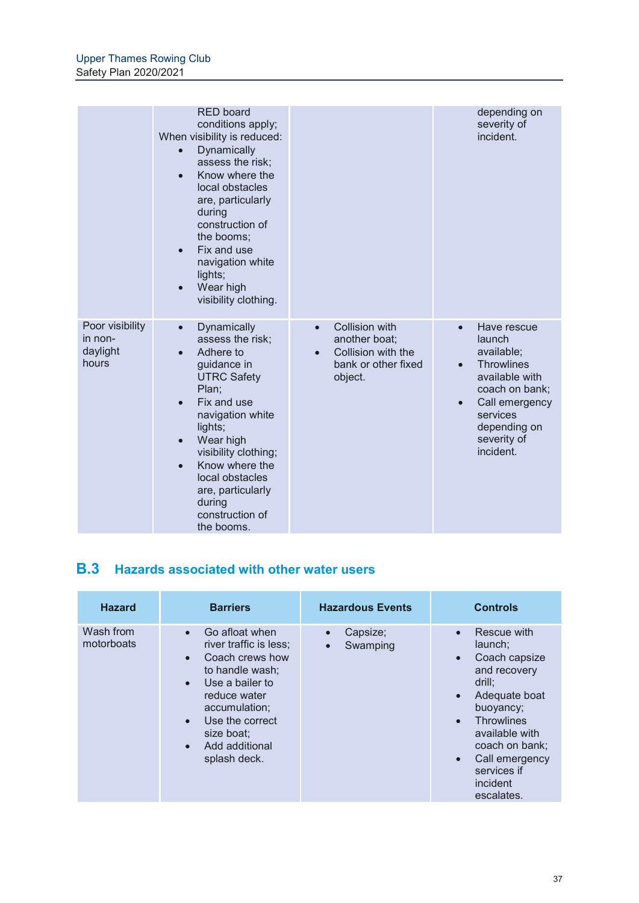|                                                 | <b>RED board</b><br>conditions apply;<br>When visibility is reduced:<br>Dynamically<br>$\bullet$<br>assess the risk;<br>Know where the<br>$\bullet$<br>local obstacles<br>are, particularly<br>during<br>construction of<br>the booms;<br>Fix and use<br>$\bullet$<br>navigation white<br>lights;<br>Wear high<br>visibility clothing. |                                                                                                                          | depending on<br>severity of<br>incident.                                                                                                                                                         |
|-------------------------------------------------|----------------------------------------------------------------------------------------------------------------------------------------------------------------------------------------------------------------------------------------------------------------------------------------------------------------------------------------|--------------------------------------------------------------------------------------------------------------------------|--------------------------------------------------------------------------------------------------------------------------------------------------------------------------------------------------|
| Poor visibility<br>in non-<br>daylight<br>hours | Dynamically<br>$\bullet$<br>assess the risk;<br>Adhere to<br>guidance in<br><b>UTRC Safety</b><br>Plan;<br>Fix and use<br>navigation white<br>lights;<br>Wear high<br>$\bullet$<br>visibility clothing;<br>Know where the<br>local obstacles<br>are, particularly<br>during<br>construction of<br>the booms.                           | <b>Collision with</b><br>$\bullet$<br>another boat;<br>Collision with the<br>$\bullet$<br>bank or other fixed<br>object. | Have rescue<br>$\bullet$<br>launch<br>available;<br><b>Throwlines</b><br>$\bullet$<br>available with<br>coach on bank;<br>Call emergency<br>services<br>depending on<br>severity of<br>incident. |

## **B.3 Hazards associated with other water users**

| <b>Hazard</b>           | <b>Barriers</b>                                                                                                                                                                                                    | <b>Hazardous Events</b>                        | <b>Controls</b>                                                                                                                                                                                                                                                                      |
|-------------------------|--------------------------------------------------------------------------------------------------------------------------------------------------------------------------------------------------------------------|------------------------------------------------|--------------------------------------------------------------------------------------------------------------------------------------------------------------------------------------------------------------------------------------------------------------------------------------|
| Wash from<br>motorboats | Go afloat when<br>$\bullet$<br>river traffic is less;<br>Coach crews how<br>to handle wash;<br>Use a bailer to<br>reduce water<br>accumulation;<br>Use the correct<br>size boat:<br>Add additional<br>splash deck. | Capsize;<br>$\bullet$<br>Swamping<br>$\bullet$ | Rescue with<br>$\bullet$<br>launch;<br>Coach capsize<br>$\bullet$<br>and recovery<br>drill;<br>Adequate boat<br>$\bullet$<br>buoyancy;<br><b>Throwlines</b><br>$\bullet$<br>available with<br>coach on bank;<br>Call emergency<br>$\bullet$<br>services if<br>incident<br>escalates. |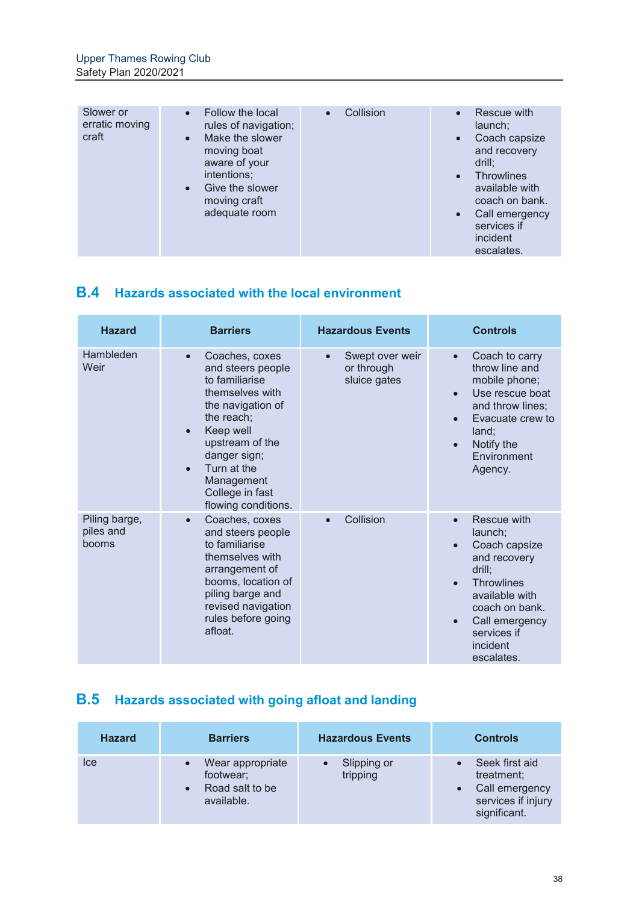| Slower or<br>erratic moving<br>craft | Follow the local<br>rules of navigation;<br>Make the slower<br>$\bullet$<br>moving boat<br>aware of your<br>intentions;<br>Give the slower<br>$\bullet$<br>moving craft<br>adequate room | Collision<br>$\bullet$ | Rescue with<br>launch;<br>Coach capsize<br>$\bullet$<br>and recovery<br>drill:<br><b>Throwlines</b><br>$\bullet$<br>available with<br>coach on bank.<br>Call emergency<br>$\bullet$<br>services if<br>incident<br>escalates. |
|--------------------------------------|------------------------------------------------------------------------------------------------------------------------------------------------------------------------------------------|------------------------|------------------------------------------------------------------------------------------------------------------------------------------------------------------------------------------------------------------------------|

## **B.4 Hazards associated with the local environment**

| <b>Hazard</b>                       | <b>Barriers</b>                                                                                                                                                                                                                                                           | <b>Hazardous Events</b>                       | <b>Controls</b>                                                                                                                                                                                                                           |
|-------------------------------------|---------------------------------------------------------------------------------------------------------------------------------------------------------------------------------------------------------------------------------------------------------------------------|-----------------------------------------------|-------------------------------------------------------------------------------------------------------------------------------------------------------------------------------------------------------------------------------------------|
| Hambleden<br>Weir                   | Coaches, coxes<br>$\bullet$<br>and steers people<br>to familiarise<br>themselves with<br>the navigation of<br>the reach;<br>Keep well<br>$\bullet$<br>upstream of the<br>danger sign;<br>Turn at the<br>$\bullet$<br>Management<br>College in fast<br>flowing conditions. | Swept over weir<br>or through<br>sluice gates | Coach to carry<br>$\bullet$<br>throw line and<br>mobile phone;<br>Use rescue boat<br>$\bullet$<br>and throw lines;<br>Evacuate crew to<br>land;<br>Notify the<br>$\bullet$<br>Environment<br>Agency.                                      |
| Piling barge,<br>piles and<br>booms | Coaches, coxes<br>$\bullet$<br>and steers people<br>to familiarise<br>themselves with<br>arrangement of<br>booms, location of<br>piling barge and<br>revised navigation<br>rules before going<br>afloat.                                                                  | Collision                                     | Rescue with<br>$\bullet$<br>launch;<br>Coach capsize<br>$\bullet$<br>and recovery<br>drill;<br><b>Throwlines</b><br>$\bullet$<br>available with<br>coach on bank.<br>Call emergency<br>$\bullet$<br>services if<br>incident<br>escalates. |

## **B.5 Hazards associated with going afloat and landing**

| <b>Hazard</b> | <b>Barriers</b>                                                | <b>Hazardous Events</b> | <b>Controls</b>                                                                      |
|---------------|----------------------------------------------------------------|-------------------------|--------------------------------------------------------------------------------------|
| Ice           | Wear appropriate<br>footwear;<br>Road salt to be<br>available. | Slipping or<br>tripping | Seek first aid<br>treatment;<br>Call emergency<br>services if injury<br>significant. |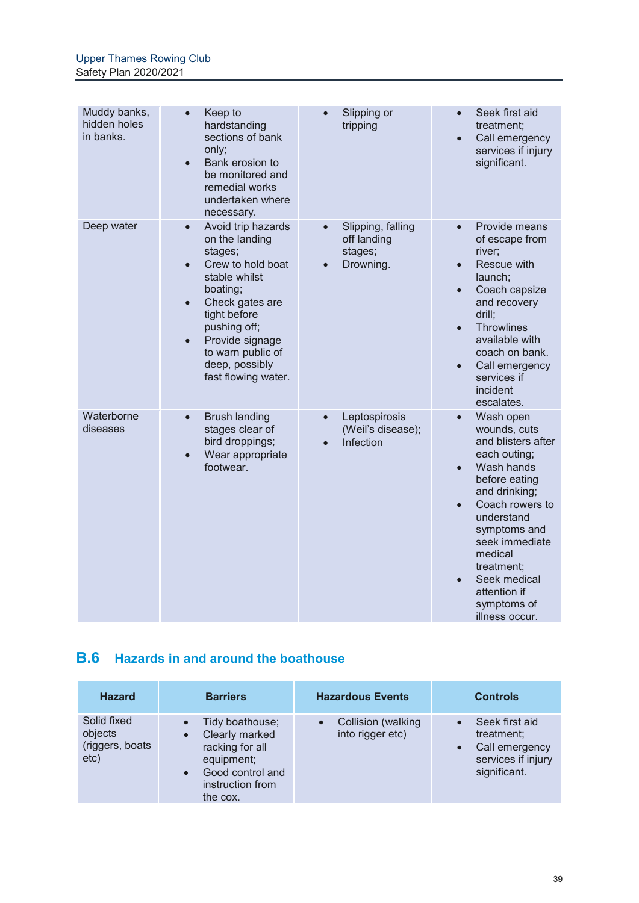| Muddy banks,<br>hidden holes<br>in banks. | Keep to<br>$\bullet$<br>hardstanding<br>sections of bank<br>only;<br>Bank erosion to<br>$\bullet$<br>be monitored and<br>remedial works<br>undertaken where<br>necessary.                                                                                                                 | Slipping or<br>tripping                                               | Seek first aid<br>$\bullet$<br>treatment;<br>Call emergency<br>$\bullet$<br>services if injury<br>significant.                                                                                                                                                                                                      |
|-------------------------------------------|-------------------------------------------------------------------------------------------------------------------------------------------------------------------------------------------------------------------------------------------------------------------------------------------|-----------------------------------------------------------------------|---------------------------------------------------------------------------------------------------------------------------------------------------------------------------------------------------------------------------------------------------------------------------------------------------------------------|
| Deep water                                | Avoid trip hazards<br>$\bullet$<br>on the landing<br>stages;<br>Crew to hold boat<br>$\bullet$<br>stable whilst<br>boating;<br>Check gates are<br>$\bullet$<br>tight before<br>pushing off;<br>Provide signage<br>$\bullet$<br>to warn public of<br>deep, possibly<br>fast flowing water. | Slipping, falling<br>$\bullet$<br>off landing<br>stages;<br>Drowning. | Provide means<br>$\bullet$<br>of escape from<br>river;<br>Rescue with<br>$\bullet$<br>launch;<br>Coach capsize<br>$\bullet$<br>and recovery<br>drill;<br><b>Throwlines</b><br>$\bullet$<br>available with<br>coach on bank.<br>Call emergency<br>services if<br>incident<br>escalates.                              |
| Waterborne<br>diseases                    | <b>Brush landing</b><br>$\bullet$<br>stages clear of<br>bird droppings;<br>Wear appropriate<br>$\bullet$<br>footwear.                                                                                                                                                                     | Leptospirosis<br>$\bullet$<br>(Weil's disease);<br>Infection          | Wash open<br>$\bullet$<br>wounds, cuts<br>and blisters after<br>each outing;<br>Wash hands<br>$\bullet$<br>before eating<br>and drinking;<br>Coach rowers to<br>understand<br>symptoms and<br>seek immediate<br>medical<br>treatment;<br>Seek medical<br>$\bullet$<br>attention if<br>symptoms of<br>illness occur. |

## **B.6 Hazards in and around the boathouse**

| <b>Hazard</b>                                     | <b>Barriers</b>                                                                                                                     | <b>Hazardous Events</b>                             | <b>Controls</b>                                                                      |
|---------------------------------------------------|-------------------------------------------------------------------------------------------------------------------------------------|-----------------------------------------------------|--------------------------------------------------------------------------------------|
| Solid fixed<br>objects<br>(riggers, boats<br>etc) | Tidy boathouse;<br>Clearly marked<br>racking for all<br>equipment;<br>Good control and<br>$\bullet$<br>instruction from<br>the cox. | Collision (walking<br>$\bullet$<br>into rigger etc) | Seek first aid<br>treatment;<br>Call emergency<br>services if injury<br>significant. |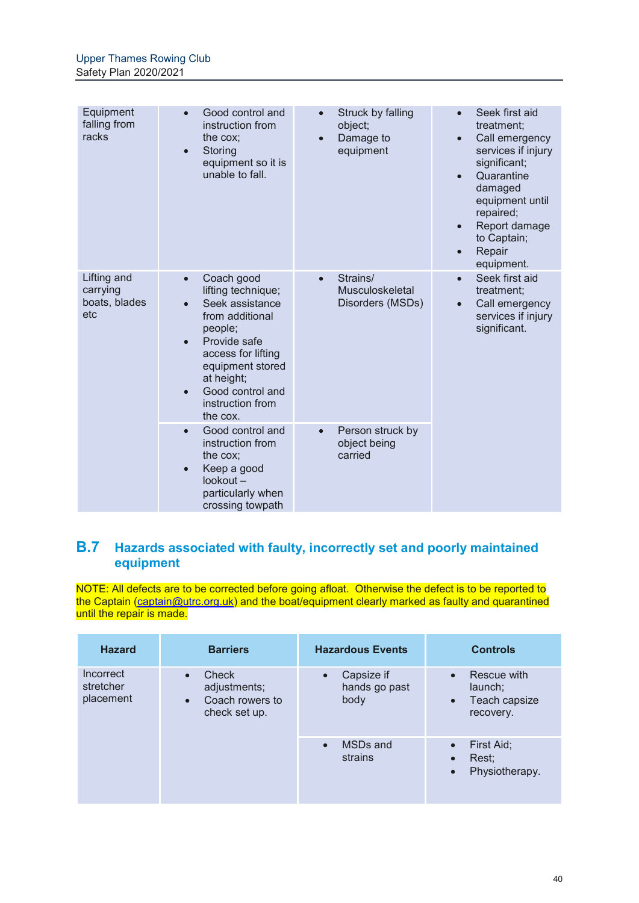| Equipment<br>falling from<br>racks              | Good control and<br>$\bullet$<br>instruction from<br>the cox;<br>Storing<br>$\bullet$<br>equipment so it is<br>unable to fall.                                                                                                                                    | Struck by falling<br>$\bullet$<br>object;<br>Damage to<br>$\bullet$<br>equipment | Seek first aid<br>treatment;<br>Call emergency<br>$\bullet$<br>services if injury<br>significant;<br>Quarantine<br>$\bullet$<br>damaged<br>equipment until<br>repaired;<br>Report damage<br>$\bullet$<br>to Captain;<br>Repair<br>equipment. |
|-------------------------------------------------|-------------------------------------------------------------------------------------------------------------------------------------------------------------------------------------------------------------------------------------------------------------------|----------------------------------------------------------------------------------|----------------------------------------------------------------------------------------------------------------------------------------------------------------------------------------------------------------------------------------------|
| Lifting and<br>carrying<br>boats, blades<br>etc | Coach good<br>$\bullet$<br>lifting technique;<br>Seek assistance<br>$\bullet$<br>from additional<br>people;<br>Provide safe<br>$\bullet$<br>access for lifting<br>equipment stored<br>at height;<br>Good control and<br>$\bullet$<br>instruction from<br>the cox. | Strains/<br>$\bullet$<br>Musculoskeletal<br>Disorders (MSDs)                     | Seek first aid<br>$\bullet$<br>treatment;<br>Call emergency<br>$\bullet$<br>services if injury<br>significant.                                                                                                                               |
|                                                 | Good control and<br>$\bullet$<br>instruction from<br>the cox:<br>Keep a good<br>$\bullet$<br>$lookout -$<br>particularly when<br>crossing towpath                                                                                                                 | Person struck by<br>$\bullet$<br>object being<br>carried                         |                                                                                                                                                                                                                                              |

## **B.7 Hazards associated with faulty, incorrectly set and poorly maintained equipment**

NOTE: All defects are to be corrected before going afloat. Otherwise the defect is to be reported to the Captain (captain@utrc.org.uk) and the boat/equipment clearly marked as faulty and quarantined until the repair is made.

| <b>Hazard</b>                                                 | <b>Barriers</b>                                           | <b>Hazardous Events</b>                          | <b>Controls</b>                                                   |
|---------------------------------------------------------------|-----------------------------------------------------------|--------------------------------------------------|-------------------------------------------------------------------|
| Incorrect<br>$\bullet$<br>stretcher<br>placement<br>$\bullet$ | Check<br>adjustments;<br>Coach rowers to<br>check set up. | Capsize if<br>$\bullet$<br>hands go past<br>body | Rescue with<br>launch;<br>Teach capsize<br>$\bullet$<br>recovery. |
|                                                               |                                                           | MSD <sub>s</sub> and<br>$\bullet$<br>strains     | First Aid;<br>Rest;<br>$\bullet$<br>Physiotherapy.<br>$\bullet$   |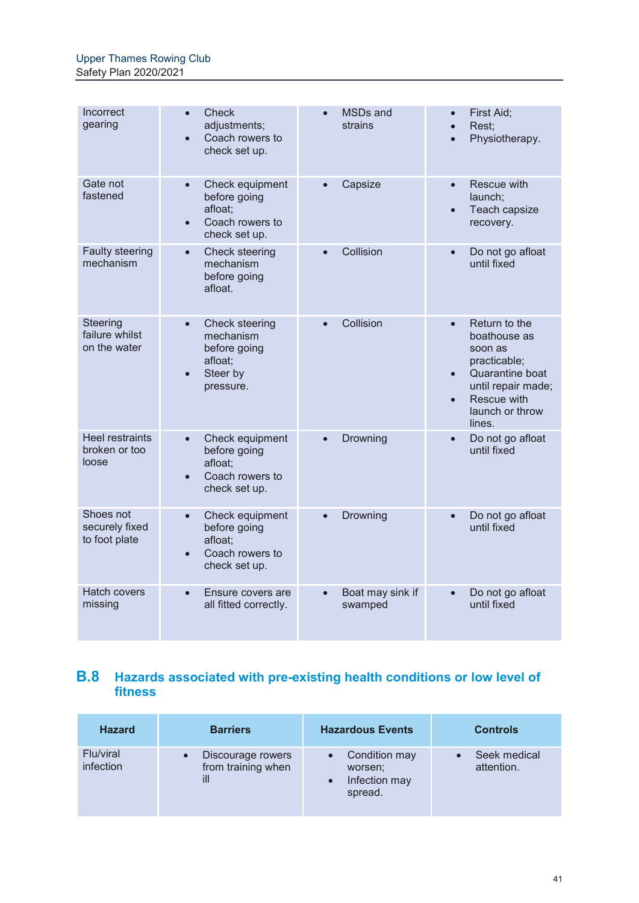| Incorrect<br>gearing                             | <b>Check</b><br>adjustments;<br>Coach rowers to<br>check set up.                                          | MSDs and<br>strains                      | First Aid;<br>Rest:<br>$\bullet$<br>Physiotherapy.                                                                                                         |
|--------------------------------------------------|-----------------------------------------------------------------------------------------------------------|------------------------------------------|------------------------------------------------------------------------------------------------------------------------------------------------------------|
| Gate not<br>fastened                             | Check equipment<br>$\bullet$<br>before going<br>afloat;<br>Coach rowers to<br>$\bullet$<br>check set up.  | Capsize                                  | Rescue with<br>$\bullet$<br>launch;<br>Teach capsize<br>$\bullet$<br>recovery.                                                                             |
| <b>Faulty steering</b><br>mechanism              | Check steering<br>$\bullet$<br>mechanism<br>before going<br>afloat.                                       | Collision                                | Do not go afloat<br>$\bullet$<br>until fixed                                                                                                               |
| Steering<br>failure whilst<br>on the water       | Check steering<br>$\bullet$<br>mechanism<br>before going<br>afloat;<br>Steer by<br>$\bullet$<br>pressure. | Collision                                | Return to the<br>boathouse as<br>soon as<br>practicable;<br>Quarantine boat<br>until repair made;<br>Rescue with<br>$\bullet$<br>launch or throw<br>lines. |
| <b>Heel restraints</b><br>broken or too<br>loose | Check equipment<br>$\bullet$<br>before going<br>afloat:<br>Coach rowers to<br>$\bullet$<br>check set up.  | Drowning                                 | Do not go afloat<br>$\bullet$<br>until fixed                                                                                                               |
| Shoes not<br>securely fixed<br>to foot plate     | Check equipment<br>$\bullet$<br>before going<br>afloat;<br>Coach rowers to<br>$\bullet$<br>check set up.  | Drowning<br>$\bullet$                    | Do not go afloat<br>$\bullet$<br>until fixed                                                                                                               |
| <b>Hatch covers</b><br>missing                   | Ensure covers are<br>$\bullet$<br>all fitted correctly.                                                   | Boat may sink if<br>$\bullet$<br>swamped | Do not go afloat<br>$\bullet$<br>until fixed                                                                                                               |

## **B.8 Hazards associated with pre-existing health conditions or low level of fitness**

| <b>Hazard</b>          | <b>Barriers</b>                                             | <b>Hazardous Events</b>                              | <b>Controls</b>            |
|------------------------|-------------------------------------------------------------|------------------------------------------------------|----------------------------|
| Flu/viral<br>infection | Discourage rowers<br>$\bullet$<br>from training when<br>ill | Condition may<br>worsen;<br>Infection may<br>spread. | Seek medical<br>attention. |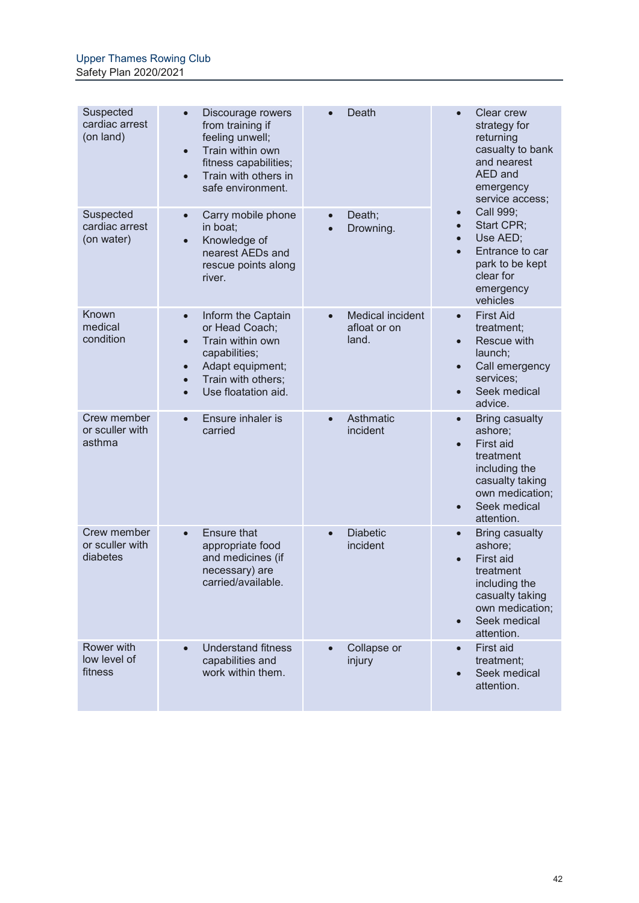| Suspected<br>cardiac arrest<br>(on land)   | Discourage rowers<br>$\bullet$<br>from training if<br>feeling unwell;<br>Train within own<br>$\bullet$<br>fitness capabilities;<br>Train with others in<br>$\bullet$<br>safe environment.                   | Death                                                         | <b>Clear crew</b><br>strategy for<br>returning<br>casualty to bank<br>and nearest<br>AED and<br>emergency<br>service access;                                                           |
|--------------------------------------------|-------------------------------------------------------------------------------------------------------------------------------------------------------------------------------------------------------------|---------------------------------------------------------------|----------------------------------------------------------------------------------------------------------------------------------------------------------------------------------------|
| Suspected<br>cardiac arrest<br>(on water)  | Carry mobile phone<br>$\bullet$<br>in boat:<br>Knowledge of<br>$\bullet$<br>nearest AEDs and<br>rescue points along<br>river.                                                                               | Death;<br>$\bullet$<br>Drowning.                              | Call 999;<br>$\bullet$<br>Start CPR;<br>$\bullet$<br>Use AED;<br>$\bullet$<br>Entrance to car<br>$\bullet$<br>park to be kept<br>clear for<br>emergency<br>vehicles                    |
| Known<br>medical<br>condition              | Inform the Captain<br>$\bullet$<br>or Head Coach;<br>Train within own<br>$\bullet$<br>capabilities;<br>Adapt equipment;<br>$\bullet$<br>Train with others;<br>$\bullet$<br>Use floatation aid.<br>$\bullet$ | <b>Medical incident</b><br>$\bullet$<br>afloat or on<br>land. | <b>First Aid</b><br>$\bullet$<br>treatment;<br>Rescue with<br>$\bullet$<br>launch;<br>Call emergency<br>$\bullet$<br>services;<br>Seek medical<br>$\bullet$<br>advice.                 |
| Crew member<br>or sculler with<br>asthma   | Ensure inhaler is<br>$\bullet$<br>carried                                                                                                                                                                   | Asthmatic<br>$\bullet$<br>incident                            | <b>Bring casualty</b><br>$\bullet$<br>ashore;<br>First aid<br>$\bullet$<br>treatment<br>including the<br>casualty taking<br>own medication;<br>Seek medical<br>$\bullet$<br>attention. |
| Crew member<br>or sculler with<br>diabetes | <b>Ensure that</b><br>$\bullet$<br>appropriate food<br>and medicines (if<br>necessary) are<br>carried/available.                                                                                            | <b>Diabetic</b><br>$\bullet$<br>incident                      | <b>Bring casualty</b><br>$\bullet$<br>ashore;<br>First aid<br>$\bullet$<br>treatment<br>including the<br>casualty taking<br>own medication;<br>Seek medical<br>$\bullet$<br>attention. |
| Rower with<br>low level of<br>fitness      | <b>Understand fitness</b><br>$\bullet$<br>capabilities and<br>work within them.                                                                                                                             | Collapse or<br>injury                                         | <b>First aid</b><br>$\bullet$<br>treatment;<br>Seek medical<br>$\bullet$<br>attention.                                                                                                 |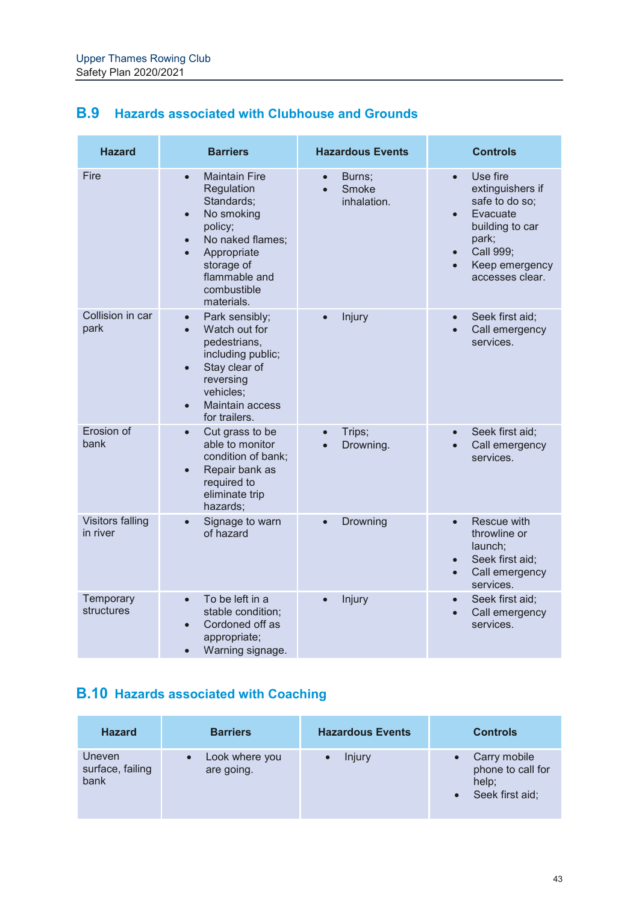| <b>B.9</b> Hazards associated with Clubhouse and Grounds |  |
|----------------------------------------------------------|--|
|----------------------------------------------------------|--|

| <b>Hazard</b>                       | <b>Barriers</b>                                                                                                                                                                                                              | <b>Hazardous Events</b>                                  | <b>Controls</b>                                                                                                                                                                              |
|-------------------------------------|------------------------------------------------------------------------------------------------------------------------------------------------------------------------------------------------------------------------------|----------------------------------------------------------|----------------------------------------------------------------------------------------------------------------------------------------------------------------------------------------------|
| Fire                                | <b>Maintain Fire</b><br>$\bullet$<br>Regulation<br>Standards;<br>No smoking<br>$\bullet$<br>policy;<br>No naked flames;<br>$\bullet$<br>Appropriate<br>$\bullet$<br>storage of<br>flammable and<br>combustible<br>materials. | Burns;<br>$\bullet$<br>Smoke<br>$\bullet$<br>inhalation. | $\bullet$<br>Use fire<br>extinguishers if<br>safe to do so;<br>Evacuate<br>$\bullet$<br>building to car<br>park;<br>Call 999;<br>$\bullet$<br>Keep emergency<br>$\bullet$<br>accesses clear. |
| Collision in car<br>park            | Park sensibly;<br>$\bullet$<br>Watch out for<br>$\bullet$<br>pedestrians,<br>including public;<br>Stay clear of<br>$\bullet$<br>reversing<br>vehicles;<br>Maintain access<br>$\bullet$<br>for trailers.                      | Injury                                                   | Seek first aid;<br>$\bullet$<br>Call emergency<br>$\bullet$<br>services.                                                                                                                     |
| Erosion of<br>bank                  | Cut grass to be<br>$\bullet$<br>able to monitor<br>condition of bank;<br>Repair bank as<br>$\bullet$<br>required to<br>eliminate trip<br>hazards:                                                                            | Trips;<br>$\bullet$<br>Drowning.<br>$\bullet$            | Seek first aid;<br>$\bullet$<br>Call emergency<br>$\bullet$<br>services.                                                                                                                     |
| <b>Visitors falling</b><br>in river | Signage to warn<br>$\bullet$<br>of hazard                                                                                                                                                                                    | Drowning<br>$\bullet$                                    | Rescue with<br>$\bullet$<br>throwline or<br>launch;<br>Seek first aid;<br>$\bullet$<br>Call emergency<br>$\bullet$<br>services.                                                              |
| Temporary<br>structures             | To be left in a<br>$\bullet$<br>stable condition;<br>Cordoned off as<br>$\bullet$<br>appropriate;<br>Warning signage.<br>$\bullet$                                                                                           | Injury<br>$\bullet$                                      | Seek first aid;<br>$\bullet$<br>Call emergency<br>$\bullet$<br>services.                                                                                                                     |

## **B.10 Hazards associated with Coaching**

| <b>Hazard</b>                      | <b>Barriers</b>              | <b>Hazardous Events</b> | <b>Controls</b>                                               |
|------------------------------------|------------------------------|-------------------------|---------------------------------------------------------------|
| Uneven<br>surface, failing<br>bank | Look where you<br>are going. | Injury                  | Carry mobile<br>phone to call for<br>help;<br>Seek first aid; |